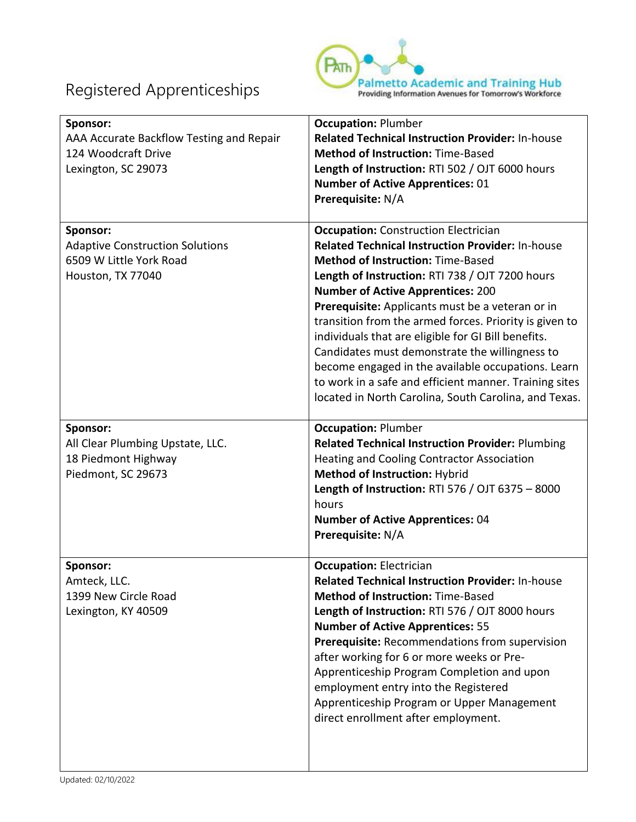

| Sponsor:<br>AAA Accurate Backflow Testing and Repair<br>124 Woodcraft Drive<br>Lexington, SC 29073 | <b>Occupation: Plumber</b><br><b>Related Technical Instruction Provider: In-house</b><br><b>Method of Instruction: Time-Based</b><br>Length of Instruction: RTI 502 / OJT 6000 hours<br><b>Number of Active Apprentices: 01</b><br>Prerequisite: N/A                                                                                                                                                                                                                                                                                                                                                                                              |
|----------------------------------------------------------------------------------------------------|---------------------------------------------------------------------------------------------------------------------------------------------------------------------------------------------------------------------------------------------------------------------------------------------------------------------------------------------------------------------------------------------------------------------------------------------------------------------------------------------------------------------------------------------------------------------------------------------------------------------------------------------------|
| Sponsor:<br><b>Adaptive Construction Solutions</b><br>6509 W Little York Road<br>Houston, TX 77040 | <b>Occupation:</b> Construction Electrician<br><b>Related Technical Instruction Provider: In-house</b><br><b>Method of Instruction: Time-Based</b><br>Length of Instruction: RTI 738 / OJT 7200 hours<br><b>Number of Active Apprentices: 200</b><br>Prerequisite: Applicants must be a veteran or in<br>transition from the armed forces. Priority is given to<br>individuals that are eligible for GI Bill benefits.<br>Candidates must demonstrate the willingness to<br>become engaged in the available occupations. Learn<br>to work in a safe and efficient manner. Training sites<br>located in North Carolina, South Carolina, and Texas. |
| Sponsor:<br>All Clear Plumbing Upstate, LLC.<br>18 Piedmont Highway<br>Piedmont, SC 29673          | <b>Occupation: Plumber</b><br><b>Related Technical Instruction Provider: Plumbing</b><br><b>Heating and Cooling Contractor Association</b><br>Method of Instruction: Hybrid<br>Length of Instruction: RTI 576 / OJT 6375 - 8000<br>hours<br><b>Number of Active Apprentices: 04</b><br>Prerequisite: N/A                                                                                                                                                                                                                                                                                                                                          |
| Sponsor:<br>Amteck, LLC.<br>1399 New Circle Road<br>Lexington, KY 40509                            | <b>Occupation: Electrician</b><br>Related Technical Instruction Provider: In-house<br><b>Method of Instruction: Time-Based</b><br>Length of Instruction: RTI 576 / OJT 8000 hours<br><b>Number of Active Apprentices: 55</b><br>Prerequisite: Recommendations from supervision<br>after working for 6 or more weeks or Pre-<br>Apprenticeship Program Completion and upon<br>employment entry into the Registered<br>Apprenticeship Program or Upper Management<br>direct enrollment after employment.                                                                                                                                            |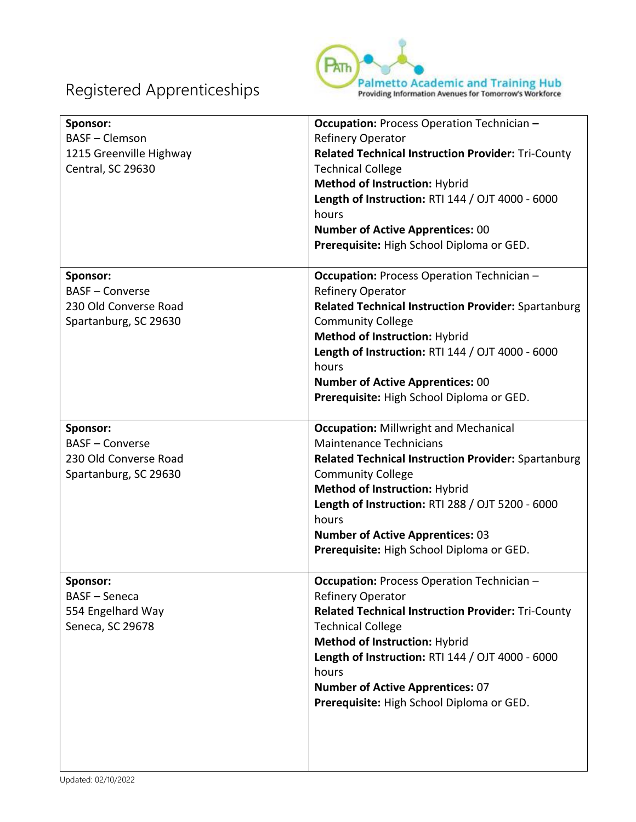

| Sponsor:<br><b>BASF</b> - Clemson<br>1215 Greenville Highway<br>Central, SC 29630 | <b>Occupation:</b> Process Operation Technician -<br><b>Refinery Operator</b><br><b>Related Technical Instruction Provider: Tri-County</b><br><b>Technical College</b><br>Method of Instruction: Hybrid<br>Length of Instruction: RTI 144 / OJT 4000 - 6000<br>hours<br><b>Number of Active Apprentices: 00</b><br>Prerequisite: High School Diploma or GED. |
|-----------------------------------------------------------------------------------|--------------------------------------------------------------------------------------------------------------------------------------------------------------------------------------------------------------------------------------------------------------------------------------------------------------------------------------------------------------|
| Sponsor:                                                                          | <b>Occupation:</b> Process Operation Technician -                                                                                                                                                                                                                                                                                                            |
| <b>BASF - Converse</b>                                                            | <b>Refinery Operator</b>                                                                                                                                                                                                                                                                                                                                     |
| 230 Old Converse Road                                                             | <b>Related Technical Instruction Provider: Spartanburg</b>                                                                                                                                                                                                                                                                                                   |
| Spartanburg, SC 29630                                                             | <b>Community College</b>                                                                                                                                                                                                                                                                                                                                     |
|                                                                                   | Method of Instruction: Hybrid                                                                                                                                                                                                                                                                                                                                |
|                                                                                   | Length of Instruction: RTI 144 / OJT 4000 - 6000                                                                                                                                                                                                                                                                                                             |
|                                                                                   | hours                                                                                                                                                                                                                                                                                                                                                        |
|                                                                                   | <b>Number of Active Apprentices: 00</b>                                                                                                                                                                                                                                                                                                                      |
|                                                                                   | Prerequisite: High School Diploma or GED.                                                                                                                                                                                                                                                                                                                    |
|                                                                                   |                                                                                                                                                                                                                                                                                                                                                              |
| Sponsor:                                                                          | <b>Occupation: Millwright and Mechanical</b>                                                                                                                                                                                                                                                                                                                 |
| <b>BASF - Converse</b>                                                            | <b>Maintenance Technicians</b>                                                                                                                                                                                                                                                                                                                               |
| 230 Old Converse Road                                                             | <b>Related Technical Instruction Provider: Spartanburg</b>                                                                                                                                                                                                                                                                                                   |
| Spartanburg, SC 29630                                                             | <b>Community College</b>                                                                                                                                                                                                                                                                                                                                     |
|                                                                                   | <b>Method of Instruction: Hybrid</b>                                                                                                                                                                                                                                                                                                                         |
|                                                                                   | Length of Instruction: RTI 288 / OJT 5200 - 6000                                                                                                                                                                                                                                                                                                             |
|                                                                                   | hours                                                                                                                                                                                                                                                                                                                                                        |
|                                                                                   | <b>Number of Active Apprentices: 03</b>                                                                                                                                                                                                                                                                                                                      |
|                                                                                   | Prerequisite: High School Diploma or GED.                                                                                                                                                                                                                                                                                                                    |
| Sponsor:                                                                          | <b>Occupation:</b> Process Operation Technician -                                                                                                                                                                                                                                                                                                            |
| <b>BASF</b> - Seneca                                                              | <b>Refinery Operator</b>                                                                                                                                                                                                                                                                                                                                     |
| 554 Engelhard Way                                                                 | <b>Related Technical Instruction Provider: Tri-County</b>                                                                                                                                                                                                                                                                                                    |
| Seneca, SC 29678                                                                  | <b>Technical College</b>                                                                                                                                                                                                                                                                                                                                     |
|                                                                                   | Method of Instruction: Hybrid                                                                                                                                                                                                                                                                                                                                |
|                                                                                   | Length of Instruction: RTI 144 / OJT 4000 - 6000                                                                                                                                                                                                                                                                                                             |
|                                                                                   | hours                                                                                                                                                                                                                                                                                                                                                        |
|                                                                                   | <b>Number of Active Apprentices: 07</b>                                                                                                                                                                                                                                                                                                                      |
|                                                                                   | Prerequisite: High School Diploma or GED.                                                                                                                                                                                                                                                                                                                    |
|                                                                                   |                                                                                                                                                                                                                                                                                                                                                              |
|                                                                                   |                                                                                                                                                                                                                                                                                                                                                              |
|                                                                                   |                                                                                                                                                                                                                                                                                                                                                              |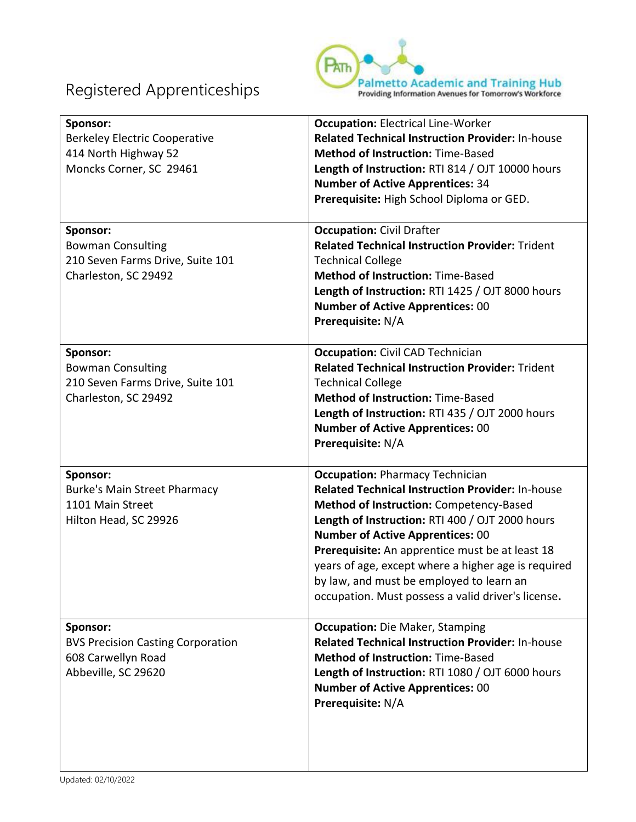

| Sponsor:<br><b>Berkeley Electric Cooperative</b><br>414 North Highway 52<br>Moncks Corner, SC 29461 | <b>Occupation: Electrical Line-Worker</b><br><b>Related Technical Instruction Provider: In-house</b><br><b>Method of Instruction: Time-Based</b><br>Length of Instruction: RTI 814 / OJT 10000 hours<br><b>Number of Active Apprentices: 34</b><br>Prerequisite: High School Diploma or GED.                                                                                                                                                           |
|-----------------------------------------------------------------------------------------------------|--------------------------------------------------------------------------------------------------------------------------------------------------------------------------------------------------------------------------------------------------------------------------------------------------------------------------------------------------------------------------------------------------------------------------------------------------------|
| Sponsor:<br><b>Bowman Consulting</b><br>210 Seven Farms Drive, Suite 101<br>Charleston, SC 29492    | <b>Occupation: Civil Drafter</b><br><b>Related Technical Instruction Provider: Trident</b><br><b>Technical College</b><br><b>Method of Instruction: Time-Based</b><br>Length of Instruction: RTI 1425 / OJT 8000 hours<br><b>Number of Active Apprentices: 00</b><br>Prerequisite: N/A                                                                                                                                                                 |
| Sponsor:<br><b>Bowman Consulting</b><br>210 Seven Farms Drive, Suite 101<br>Charleston, SC 29492    | <b>Occupation:</b> Civil CAD Technician<br><b>Related Technical Instruction Provider: Trident</b><br><b>Technical College</b><br><b>Method of Instruction: Time-Based</b><br>Length of Instruction: RTI 435 / OJT 2000 hours<br><b>Number of Active Apprentices: 00</b><br>Prerequisite: N/A                                                                                                                                                           |
| Sponsor:<br><b>Burke's Main Street Pharmacy</b><br>1101 Main Street<br>Hilton Head, SC 29926        | <b>Occupation: Pharmacy Technician</b><br><b>Related Technical Instruction Provider: In-house</b><br>Method of Instruction: Competency-Based<br>Length of Instruction: RTI 400 / OJT 2000 hours<br><b>Number of Active Apprentices: 00</b><br>Prerequisite: An apprentice must be at least 18<br>years of age, except where a higher age is required<br>by law, and must be employed to learn an<br>occupation. Must possess a valid driver's license. |
| Sponsor:<br><b>BVS Precision Casting Corporation</b><br>608 Carwellyn Road<br>Abbeville, SC 29620   | <b>Occupation:</b> Die Maker, Stamping<br><b>Related Technical Instruction Provider: In-house</b><br><b>Method of Instruction: Time-Based</b><br>Length of Instruction: RTI 1080 / OJT 6000 hours<br><b>Number of Active Apprentices: 00</b><br>Prerequisite: N/A                                                                                                                                                                                      |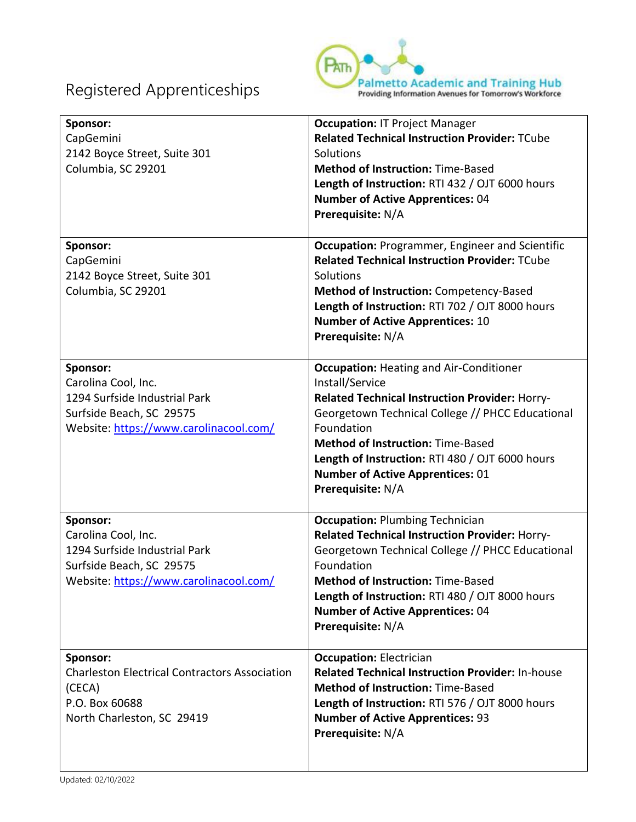

| Sponsor:<br>CapGemini<br>2142 Boyce Street, Suite 301<br>Columbia, SC 29201                                                            | <b>Occupation: IT Project Manager</b><br><b>Related Technical Instruction Provider: TCube</b><br>Solutions<br><b>Method of Instruction: Time-Based</b><br>Length of Instruction: RTI 432 / OJT 6000 hours<br><b>Number of Active Apprentices: 04</b><br>Prerequisite: N/A                                                                            |
|----------------------------------------------------------------------------------------------------------------------------------------|------------------------------------------------------------------------------------------------------------------------------------------------------------------------------------------------------------------------------------------------------------------------------------------------------------------------------------------------------|
| Sponsor:<br>CapGemini<br>2142 Boyce Street, Suite 301<br>Columbia, SC 29201                                                            | <b>Occupation: Programmer, Engineer and Scientific</b><br><b>Related Technical Instruction Provider: TCube</b><br>Solutions<br><b>Method of Instruction: Competency-Based</b><br>Length of Instruction: RTI 702 / OJT 8000 hours<br><b>Number of Active Apprentices: 10</b><br>Prerequisite: N/A                                                     |
| Sponsor:<br>Carolina Cool, Inc.<br>1294 Surfside Industrial Park<br>Surfside Beach, SC 29575<br>Website: https://www.carolinacool.com/ | <b>Occupation: Heating and Air-Conditioner</b><br>Install/Service<br>Related Technical Instruction Provider: Horry-<br>Georgetown Technical College // PHCC Educational<br>Foundation<br><b>Method of Instruction: Time-Based</b><br>Length of Instruction: RTI 480 / OJT 6000 hours<br><b>Number of Active Apprentices: 01</b><br>Prerequisite: N/A |
| Sponsor:<br>Carolina Cool, Inc.<br>1294 Surfside Industrial Park<br>Surfside Beach, SC 29575<br>Website: https://www.carolinacool.com/ | <b>Occupation: Plumbing Technician</b><br>Related Technical Instruction Provider: Horry-<br>Georgetown Technical College // PHCC Educational<br>Foundation<br><b>Method of Instruction: Time-Based</b><br>Length of Instruction: RTI 480 / OJT 8000 hours<br><b>Number of Active Apprentices: 04</b><br>Prerequisite: N/A                            |
| Sponsor:<br><b>Charleston Electrical Contractors Association</b><br>(CECA)<br>P.O. Box 60688<br>North Charleston, SC 29419             | <b>Occupation: Electrician</b><br><b>Related Technical Instruction Provider: In-house</b><br><b>Method of Instruction: Time-Based</b><br>Length of Instruction: RTI 576 / OJT 8000 hours<br><b>Number of Active Apprentices: 93</b><br>Prerequisite: N/A                                                                                             |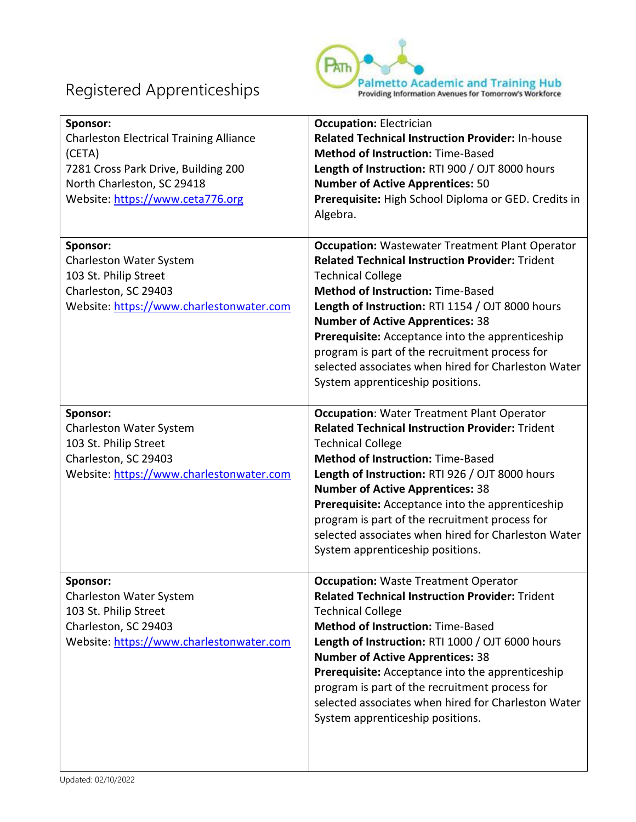

| Sponsor:<br><b>Charleston Electrical Training Alliance</b><br>(CETA)<br>7281 Cross Park Drive, Building 200<br>North Charleston, SC 29418<br>Website: https://www.ceta776.org | <b>Occupation: Electrician</b><br><b>Related Technical Instruction Provider: In-house</b><br><b>Method of Instruction: Time-Based</b><br>Length of Instruction: RTI 900 / OJT 8000 hours<br><b>Number of Active Apprentices: 50</b><br>Prerequisite: High School Diploma or GED. Credits in<br>Algebra.                                                                                                                                                                                         |
|-------------------------------------------------------------------------------------------------------------------------------------------------------------------------------|-------------------------------------------------------------------------------------------------------------------------------------------------------------------------------------------------------------------------------------------------------------------------------------------------------------------------------------------------------------------------------------------------------------------------------------------------------------------------------------------------|
| Sponsor:<br>Charleston Water System<br>103 St. Philip Street<br>Charleston, SC 29403<br>Website: https://www.charlestonwater.com                                              | <b>Occupation:</b> Wastewater Treatment Plant Operator<br><b>Related Technical Instruction Provider: Trident</b><br><b>Technical College</b><br><b>Method of Instruction: Time-Based</b><br>Length of Instruction: RTI 1154 / OJT 8000 hours<br><b>Number of Active Apprentices: 38</b><br><b>Prerequisite:</b> Acceptance into the apprenticeship<br>program is part of the recruitment process for<br>selected associates when hired for Charleston Water<br>System apprenticeship positions. |
| Sponsor:<br>Charleston Water System<br>103 St. Philip Street<br>Charleston, SC 29403<br>Website: https://www.charlestonwater.com                                              | <b>Occupation: Water Treatment Plant Operator</b><br><b>Related Technical Instruction Provider: Trident</b><br><b>Technical College</b><br><b>Method of Instruction: Time-Based</b><br>Length of Instruction: RTI 926 / OJT 8000 hours<br><b>Number of Active Apprentices: 38</b><br><b>Prerequisite:</b> Acceptance into the apprenticeship<br>program is part of the recruitment process for<br>selected associates when hired for Charleston Water<br>System apprenticeship positions.       |
| Sponsor:<br>Charleston Water System<br>103 St. Philip Street<br>Charleston, SC 29403<br>Website: https://www.charlestonwater.com                                              | <b>Occupation: Waste Treatment Operator</b><br><b>Related Technical Instruction Provider: Trident</b><br><b>Technical College</b><br><b>Method of Instruction: Time-Based</b><br>Length of Instruction: RTI 1000 / OJT 6000 hours<br><b>Number of Active Apprentices: 38</b><br>Prerequisite: Acceptance into the apprenticeship<br>program is part of the recruitment process for<br>selected associates when hired for Charleston Water<br>System apprenticeship positions.                   |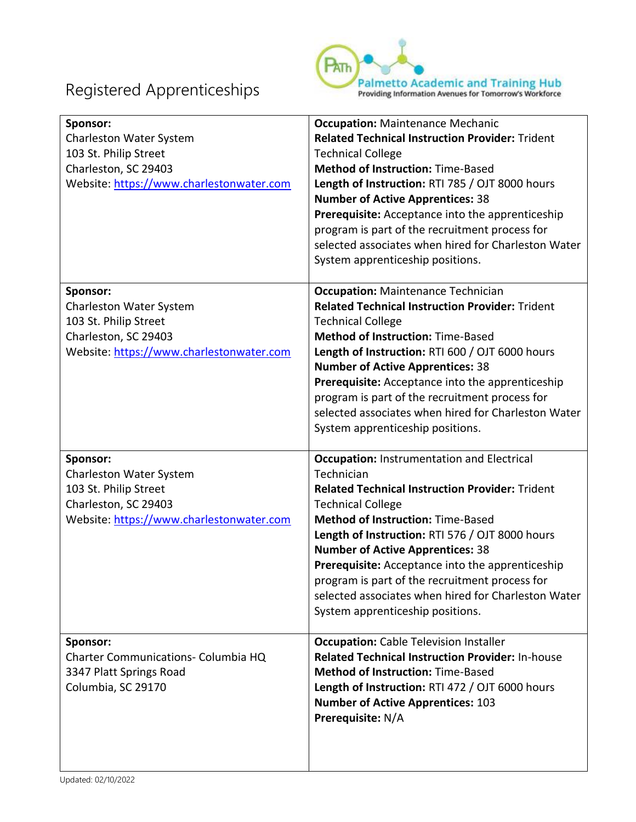

| Sponsor:<br>Charleston Water System<br>103 St. Philip Street<br>Charleston, SC 29403<br>Website: https://www.charlestonwater.com | <b>Occupation: Maintenance Mechanic</b><br><b>Related Technical Instruction Provider: Trident</b><br><b>Technical College</b><br><b>Method of Instruction: Time-Based</b><br>Length of Instruction: RTI 785 / OJT 8000 hours<br><b>Number of Active Apprentices: 38</b><br>Prerequisite: Acceptance into the apprenticeship<br>program is part of the recruitment process for                                                                                                                    |
|----------------------------------------------------------------------------------------------------------------------------------|--------------------------------------------------------------------------------------------------------------------------------------------------------------------------------------------------------------------------------------------------------------------------------------------------------------------------------------------------------------------------------------------------------------------------------------------------------------------------------------------------|
|                                                                                                                                  | selected associates when hired for Charleston Water<br>System apprenticeship positions.                                                                                                                                                                                                                                                                                                                                                                                                          |
| Sponsor:<br>Charleston Water System<br>103 St. Philip Street<br>Charleston, SC 29403<br>Website: https://www.charlestonwater.com | <b>Occupation: Maintenance Technician</b><br><b>Related Technical Instruction Provider: Trident</b><br><b>Technical College</b><br><b>Method of Instruction: Time-Based</b><br>Length of Instruction: RTI 600 / OJT 6000 hours<br><b>Number of Active Apprentices: 38</b><br>Prerequisite: Acceptance into the apprenticeship<br>program is part of the recruitment process for<br>selected associates when hired for Charleston Water<br>System apprenticeship positions.                       |
| Sponsor:<br>Charleston Water System<br>103 St. Philip Street<br>Charleston, SC 29403<br>Website: https://www.charlestonwater.com | <b>Occupation: Instrumentation and Electrical</b><br>Technician<br><b>Related Technical Instruction Provider: Trident</b><br><b>Technical College</b><br><b>Method of Instruction: Time-Based</b><br>Length of Instruction: RTI 576 / OJT 8000 hours<br><b>Number of Active Apprentices: 38</b><br>Prerequisite: Acceptance into the apprenticeship<br>program is part of the recruitment process for<br>selected associates when hired for Charleston Water<br>System apprenticeship positions. |
| Sponsor:<br>Charter Communications- Columbia HQ<br>3347 Platt Springs Road<br>Columbia, SC 29170                                 | <b>Occupation:</b> Cable Television Installer<br><b>Related Technical Instruction Provider: In-house</b><br><b>Method of Instruction: Time-Based</b><br>Length of Instruction: RTI 472 / OJT 6000 hours<br><b>Number of Active Apprentices: 103</b><br>Prerequisite: N/A                                                                                                                                                                                                                         |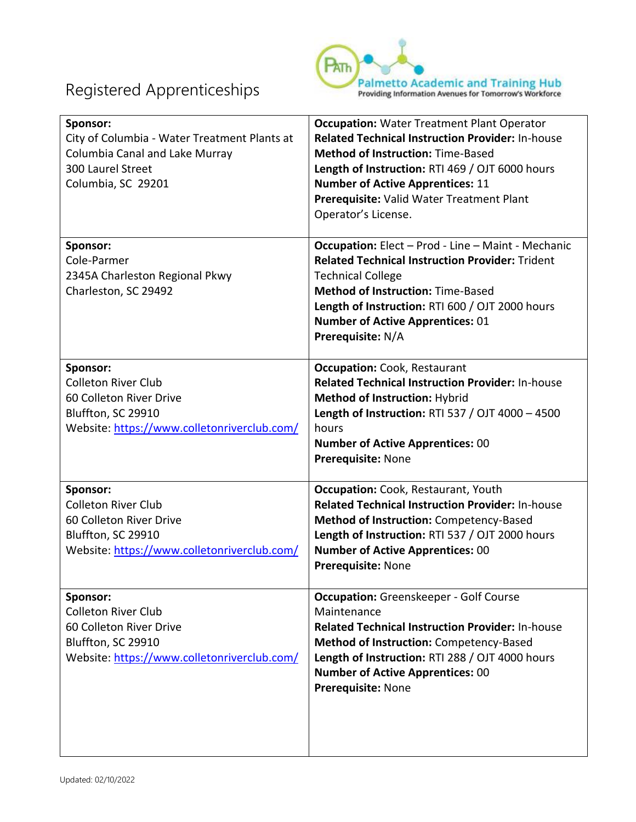

| Sponsor:<br>City of Columbia - Water Treatment Plants at<br>Columbia Canal and Lake Murray<br>300 Laurel Street<br>Columbia, SC 29201  | <b>Occupation: Water Treatment Plant Operator</b><br><b>Related Technical Instruction Provider: In-house</b><br><b>Method of Instruction: Time-Based</b><br>Length of Instruction: RTI 469 / OJT 6000 hours<br><b>Number of Active Apprentices: 11</b><br>Prerequisite: Valid Water Treatment Plant<br>Operator's License. |
|----------------------------------------------------------------------------------------------------------------------------------------|----------------------------------------------------------------------------------------------------------------------------------------------------------------------------------------------------------------------------------------------------------------------------------------------------------------------------|
| Sponsor:<br>Cole-Parmer<br>2345A Charleston Regional Pkwy<br>Charleston, SC 29492                                                      | <b>Occupation:</b> Elect - Prod - Line - Maint - Mechanic<br><b>Related Technical Instruction Provider: Trident</b><br><b>Technical College</b><br><b>Method of Instruction: Time-Based</b><br>Length of Instruction: RTI 600 / OJT 2000 hours<br><b>Number of Active Apprentices: 01</b><br>Prerequisite: N/A             |
| Sponsor:<br><b>Colleton River Club</b><br>60 Colleton River Drive<br>Bluffton, SC 29910<br>Website: https://www.colletonriverclub.com/ | <b>Occupation:</b> Cook, Restaurant<br><b>Related Technical Instruction Provider: In-house</b><br><b>Method of Instruction: Hybrid</b><br>Length of Instruction: RTI 537 / OJT 4000 - 4500<br>hours<br><b>Number of Active Apprentices: 00</b><br>Prerequisite: None                                                       |
| Sponsor:<br><b>Colleton River Club</b><br>60 Colleton River Drive<br>Bluffton, SC 29910<br>Website: https://www.colletonriverclub.com/ | <b>Occupation:</b> Cook, Restaurant, Youth<br><b>Related Technical Instruction Provider: In-house</b><br>Method of Instruction: Competency-Based<br>Length of Instruction: RTI 537 / OJT 2000 hours<br><b>Number of Active Apprentices: 00</b><br>Prerequisite: None                                                       |
| Sponsor:<br><b>Colleton River Club</b><br>60 Colleton River Drive<br>Bluffton, SC 29910<br>Website: https://www.colletonriverclub.com/ | Occupation: Greenskeeper - Golf Course<br>Maintenance<br><b>Related Technical Instruction Provider: In-house</b><br>Method of Instruction: Competency-Based<br>Length of Instruction: RTI 288 / OJT 4000 hours<br><b>Number of Active Apprentices: 00</b><br>Prerequisite: None                                            |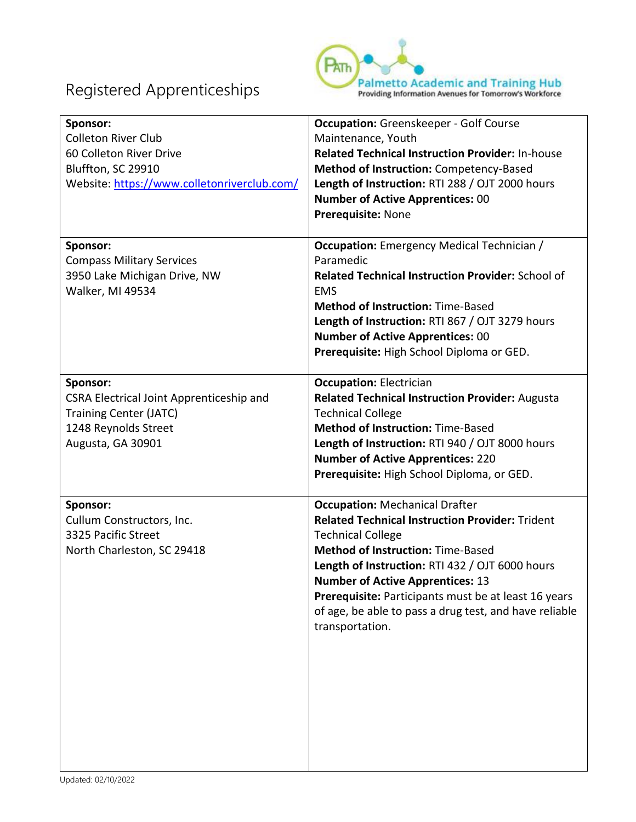

| Sponsor:<br><b>Colleton River Club</b><br>60 Colleton River Drive<br>Bluffton, SC 29910<br>Website: https://www.colletonriverclub.com/ | <b>Occupation:</b> Greenskeeper - Golf Course<br>Maintenance, Youth<br><b>Related Technical Instruction Provider: In-house</b><br>Method of Instruction: Competency-Based<br>Length of Instruction: RTI 288 / OJT 2000 hours<br><b>Number of Active Apprentices: 00</b><br>Prerequisite: None                                                                                                              |
|----------------------------------------------------------------------------------------------------------------------------------------|------------------------------------------------------------------------------------------------------------------------------------------------------------------------------------------------------------------------------------------------------------------------------------------------------------------------------------------------------------------------------------------------------------|
| Sponsor:<br><b>Compass Military Services</b><br>3950 Lake Michigan Drive, NW<br>Walker, MI 49534                                       | <b>Occupation:</b> Emergency Medical Technician /<br>Paramedic<br><b>Related Technical Instruction Provider: School of</b><br><b>EMS</b><br><b>Method of Instruction: Time-Based</b><br>Length of Instruction: RTI 867 / OJT 3279 hours<br><b>Number of Active Apprentices: 00</b><br>Prerequisite: High School Diploma or GED.                                                                            |
| Sponsor:<br>CSRA Electrical Joint Apprenticeship and<br><b>Training Center (JATC)</b><br>1248 Reynolds Street<br>Augusta, GA 30901     | <b>Occupation: Electrician</b><br><b>Related Technical Instruction Provider: Augusta</b><br><b>Technical College</b><br><b>Method of Instruction: Time-Based</b><br>Length of Instruction: RTI 940 / OJT 8000 hours<br><b>Number of Active Apprentices: 220</b><br>Prerequisite: High School Diploma, or GED.                                                                                              |
| Sponsor:<br>Cullum Constructors, Inc.<br>3325 Pacific Street<br>North Charleston, SC 29418                                             | <b>Occupation: Mechanical Drafter</b><br><b>Related Technical Instruction Provider: Trident</b><br><b>Technical College</b><br><b>Method of Instruction: Time-Based</b><br>Length of Instruction: RTI 432 / OJT 6000 hours<br><b>Number of Active Apprentices: 13</b><br>Prerequisite: Participants must be at least 16 years<br>of age, be able to pass a drug test, and have reliable<br>transportation. |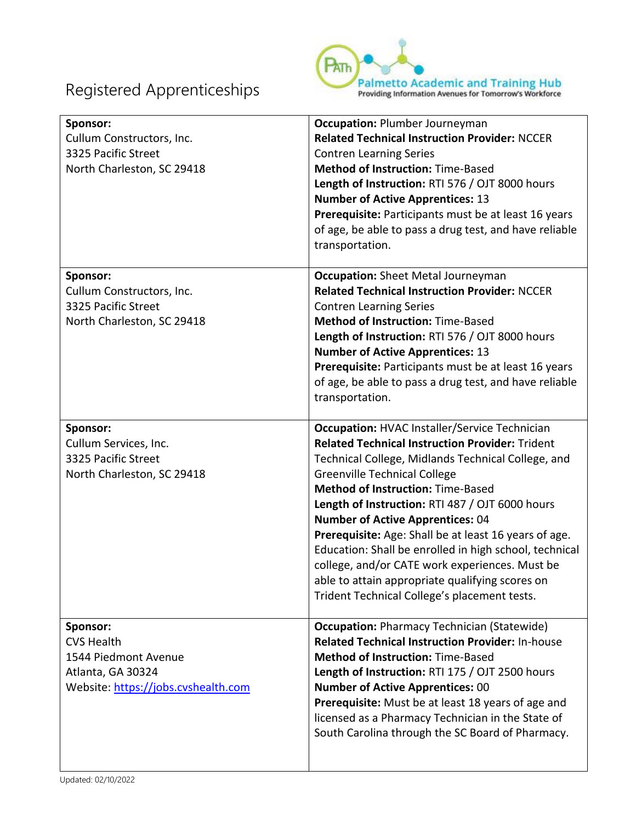

| Sponsor:<br>Cullum Constructors, Inc.<br>3325 Pacific Street<br>North Charleston, SC 29418                        | <b>Occupation: Plumber Journeyman</b><br><b>Related Technical Instruction Provider: NCCER</b><br><b>Contren Learning Series</b><br><b>Method of Instruction: Time-Based</b><br>Length of Instruction: RTI 576 / OJT 8000 hours<br><b>Number of Active Apprentices: 13</b><br>Prerequisite: Participants must be at least 16 years<br>of age, be able to pass a drug test, and have reliable<br>transportation.                                                                                                                                                                                                                |
|-------------------------------------------------------------------------------------------------------------------|-------------------------------------------------------------------------------------------------------------------------------------------------------------------------------------------------------------------------------------------------------------------------------------------------------------------------------------------------------------------------------------------------------------------------------------------------------------------------------------------------------------------------------------------------------------------------------------------------------------------------------|
| Sponsor:<br>Cullum Constructors, Inc.<br>3325 Pacific Street<br>North Charleston, SC 29418                        | <b>Occupation:</b> Sheet Metal Journeyman<br><b>Related Technical Instruction Provider: NCCER</b><br><b>Contren Learning Series</b><br><b>Method of Instruction: Time-Based</b><br>Length of Instruction: RTI 576 / OJT 8000 hours<br><b>Number of Active Apprentices: 13</b><br>Prerequisite: Participants must be at least 16 years<br>of age, be able to pass a drug test, and have reliable<br>transportation.                                                                                                                                                                                                            |
| Sponsor:<br>Cullum Services, Inc.<br>3325 Pacific Street<br>North Charleston, SC 29418                            | <b>Occupation: HVAC Installer/Service Technician</b><br><b>Related Technical Instruction Provider: Trident</b><br>Technical College, Midlands Technical College, and<br><b>Greenville Technical College</b><br><b>Method of Instruction: Time-Based</b><br>Length of Instruction: RTI 487 / OJT 6000 hours<br><b>Number of Active Apprentices: 04</b><br>Prerequisite: Age: Shall be at least 16 years of age.<br>Education: Shall be enrolled in high school, technical<br>college, and/or CATE work experiences. Must be<br>able to attain appropriate qualifying scores on<br>Trident Technical College's placement tests. |
| Sponsor:<br><b>CVS Health</b><br>1544 Piedmont Avenue<br>Atlanta, GA 30324<br>Website: https://jobs.cvshealth.com | <b>Occupation: Pharmacy Technician (Statewide)</b><br><b>Related Technical Instruction Provider: In-house</b><br><b>Method of Instruction: Time-Based</b><br>Length of Instruction: RTI 175 / OJT 2500 hours<br><b>Number of Active Apprentices: 00</b><br>Prerequisite: Must be at least 18 years of age and<br>licensed as a Pharmacy Technician in the State of<br>South Carolina through the SC Board of Pharmacy.                                                                                                                                                                                                        |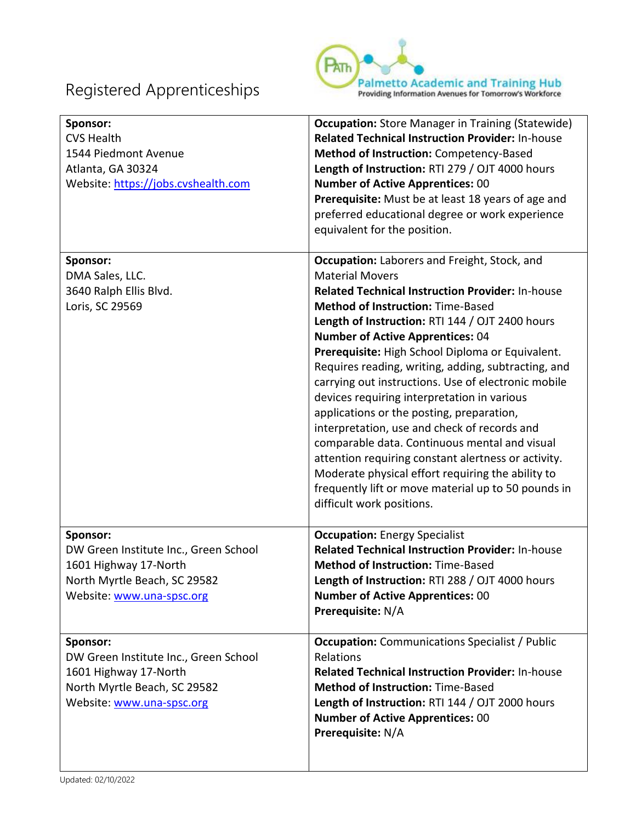

| Sponsor:<br><b>CVS Health</b><br>1544 Piedmont Avenue<br>Atlanta, GA 30324<br>Website: https://jobs.cvshealth.com                       | <b>Occupation:</b> Store Manager in Training (Statewide)<br><b>Related Technical Instruction Provider: In-house</b><br>Method of Instruction: Competency-Based<br>Length of Instruction: RTI 279 / OJT 4000 hours<br><b>Number of Active Apprentices: 00</b><br>Prerequisite: Must be at least 18 years of age and<br>preferred educational degree or work experience<br>equivalent for the position.                                                                                                                                                                                                                                                                                                                                                                                                                                      |
|-----------------------------------------------------------------------------------------------------------------------------------------|--------------------------------------------------------------------------------------------------------------------------------------------------------------------------------------------------------------------------------------------------------------------------------------------------------------------------------------------------------------------------------------------------------------------------------------------------------------------------------------------------------------------------------------------------------------------------------------------------------------------------------------------------------------------------------------------------------------------------------------------------------------------------------------------------------------------------------------------|
| Sponsor:<br>DMA Sales, LLC.<br>3640 Ralph Ellis Blvd.<br>Loris, SC 29569                                                                | Occupation: Laborers and Freight, Stock, and<br><b>Material Movers</b><br><b>Related Technical Instruction Provider: In-house</b><br><b>Method of Instruction: Time-Based</b><br>Length of Instruction: RTI 144 / OJT 2400 hours<br><b>Number of Active Apprentices: 04</b><br>Prerequisite: High School Diploma or Equivalent.<br>Requires reading, writing, adding, subtracting, and<br>carrying out instructions. Use of electronic mobile<br>devices requiring interpretation in various<br>applications or the posting, preparation,<br>interpretation, use and check of records and<br>comparable data. Continuous mental and visual<br>attention requiring constant alertness or activity.<br>Moderate physical effort requiring the ability to<br>frequently lift or move material up to 50 pounds in<br>difficult work positions. |
| Sponsor:<br>DW Green Institute Inc., Green School<br>1601 Highway 17-North<br>North Myrtle Beach, SC 29582<br>Website: www.una-spsc.org | <b>Occupation: Energy Specialist</b><br><b>Related Technical Instruction Provider: In-house</b><br><b>Method of Instruction: Time-Based</b><br><b>Length of Instruction: RTI 288 / OJT 4000 hours</b><br><b>Number of Active Apprentices: 00</b><br>Prerequisite: N/A                                                                                                                                                                                                                                                                                                                                                                                                                                                                                                                                                                      |
| Sponsor:<br>DW Green Institute Inc., Green School<br>1601 Highway 17-North<br>North Myrtle Beach, SC 29582<br>Website: www.una-spsc.org | <b>Occupation:</b> Communications Specialist / Public<br>Relations<br><b>Related Technical Instruction Provider: In-house</b><br><b>Method of Instruction: Time-Based</b><br>Length of Instruction: RTI 144 / OJT 2000 hours<br><b>Number of Active Apprentices: 00</b><br>Prerequisite: N/A                                                                                                                                                                                                                                                                                                                                                                                                                                                                                                                                               |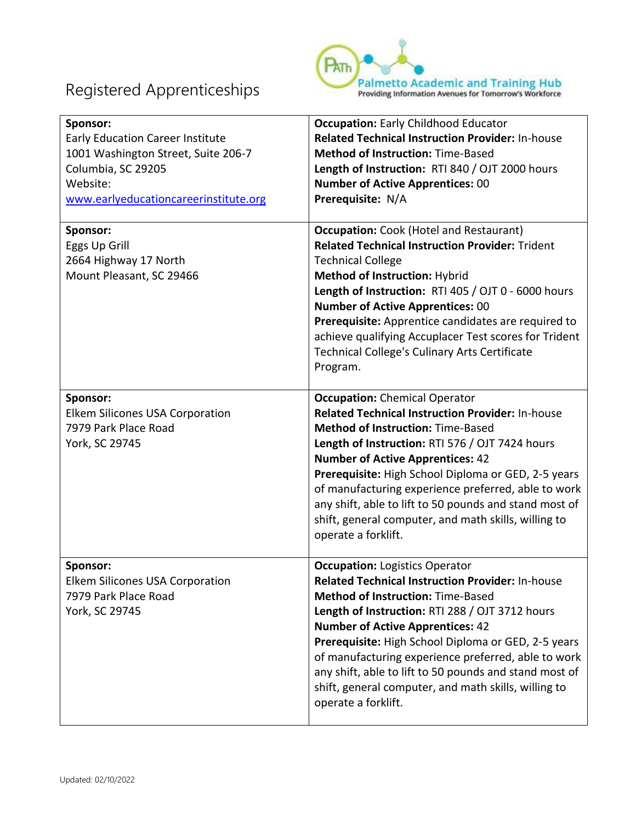

| Sponsor:<br><b>Early Education Career Institute</b><br>1001 Washington Street, Suite 206-7<br>Columbia, SC 29205<br>Website:<br>www.earlyeducationcareerinstitute.org | <b>Occupation: Early Childhood Educator</b><br><b>Related Technical Instruction Provider: In-house</b><br><b>Method of Instruction: Time-Based</b><br>Length of Instruction: RTI 840 / OJT 2000 hours<br><b>Number of Active Apprentices: 00</b><br>Prerequisite: N/A                                                                                                                                                                                                                            |
|-----------------------------------------------------------------------------------------------------------------------------------------------------------------------|--------------------------------------------------------------------------------------------------------------------------------------------------------------------------------------------------------------------------------------------------------------------------------------------------------------------------------------------------------------------------------------------------------------------------------------------------------------------------------------------------|
| Sponsor:<br>Eggs Up Grill<br>2664 Highway 17 North<br>Mount Pleasant, SC 29466                                                                                        | <b>Occupation:</b> Cook (Hotel and Restaurant)<br><b>Related Technical Instruction Provider: Trident</b><br><b>Technical College</b><br><b>Method of Instruction: Hybrid</b><br>Length of Instruction: RTI 405 / OJT 0 - 6000 hours<br><b>Number of Active Apprentices: 00</b><br>Prerequisite: Apprentice candidates are required to<br>achieve qualifying Accuplacer Test scores for Trident<br><b>Technical College's Culinary Arts Certificate</b><br>Program.                               |
| Sponsor:<br>Elkem Silicones USA Corporation<br>7979 Park Place Road<br>York, SC 29745                                                                                 | <b>Occupation:</b> Chemical Operator<br><b>Related Technical Instruction Provider: In-house</b><br><b>Method of Instruction: Time-Based</b><br>Length of Instruction: RTI 576 / OJT 7424 hours<br><b>Number of Active Apprentices: 42</b><br>Prerequisite: High School Diploma or GED, 2-5 years<br>of manufacturing experience preferred, able to work<br>any shift, able to lift to 50 pounds and stand most of<br>shift, general computer, and math skills, willing to<br>operate a forklift. |
| Sponsor:<br><b>Elkem Silicones USA Corporation</b><br>7979 Park Place Road<br>York, SC 29745                                                                          | <b>Occupation: Logistics Operator</b><br>Related Technical Instruction Provider: In-house<br><b>Method of Instruction: Time-Based</b><br>Length of Instruction: RTI 288 / OJT 3712 hours<br><b>Number of Active Apprentices: 42</b><br>Prerequisite: High School Diploma or GED, 2-5 years<br>of manufacturing experience preferred, able to work<br>any shift, able to lift to 50 pounds and stand most of<br>shift, general computer, and math skills, willing to<br>operate a forklift.       |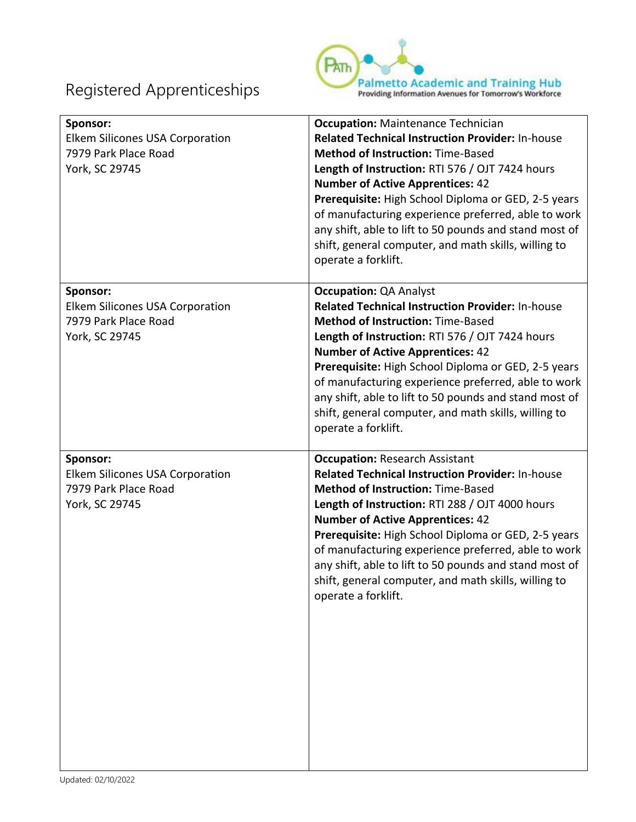

| Sponsor:<br>Elkem Silicones USA Corporation<br>7979 Park Place Road<br>York, SC 29745 | <b>Occupation: Maintenance Technician</b><br><b>Related Technical Instruction Provider: In-house</b><br><b>Method of Instruction: Time-Based</b><br>Length of Instruction: RTI 576 / OJT 7424 hours<br><b>Number of Active Apprentices: 42</b><br>Prerequisite: High School Diploma or GED, 2-5 years<br>of manufacturing experience preferred, able to work<br>any shift, able to lift to 50 pounds and stand most of<br>shift, general computer, and math skills, willing to<br>operate a forklift. |
|---------------------------------------------------------------------------------------|-------------------------------------------------------------------------------------------------------------------------------------------------------------------------------------------------------------------------------------------------------------------------------------------------------------------------------------------------------------------------------------------------------------------------------------------------------------------------------------------------------|
| Sponsor:<br>Elkem Silicones USA Corporation<br>7979 Park Place Road<br>York, SC 29745 | <b>Occupation: QA Analyst</b><br><b>Related Technical Instruction Provider: In-house</b><br><b>Method of Instruction: Time-Based</b><br>Length of Instruction: RTI 576 / OJT 7424 hours<br><b>Number of Active Apprentices: 42</b><br>Prerequisite: High School Diploma or GED, 2-5 years<br>of manufacturing experience preferred, able to work<br>any shift, able to lift to 50 pounds and stand most of<br>shift, general computer, and math skills, willing to<br>operate a forklift.             |
| Sponsor:<br>Elkem Silicones USA Corporation<br>7979 Park Place Road<br>York, SC 29745 | <b>Occupation: Research Assistant</b><br><b>Related Technical Instruction Provider: In-house</b><br><b>Method of Instruction: Time-Based</b><br>Length of Instruction: RTI 288 / OJT 4000 hours<br><b>Number of Active Apprentices: 42</b><br>Prerequisite: High School Diploma or GED, 2-5 years<br>of manufacturing experience preferred, able to work<br>any shift, able to lift to 50 pounds and stand most of<br>shift, general computer, and math skills, willing to<br>operate a forklift.     |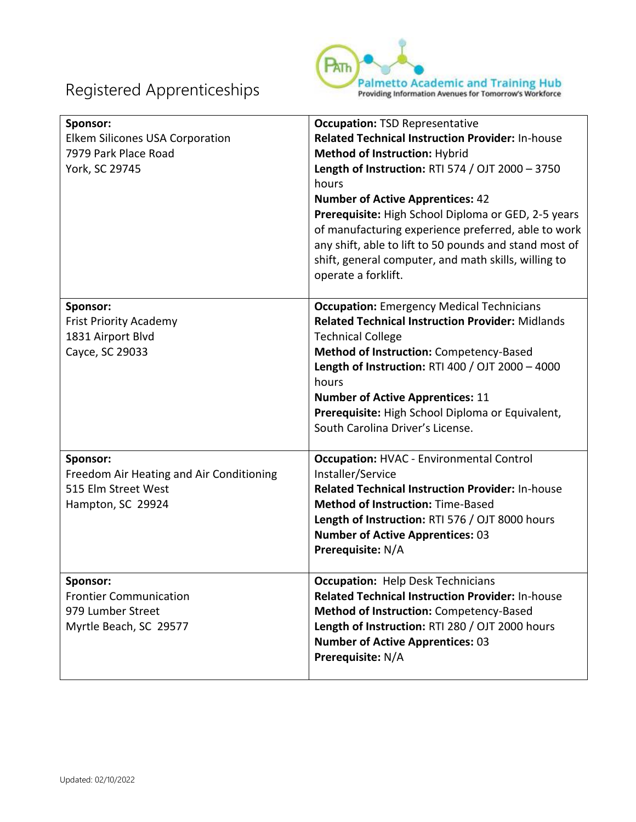

| Sponsor:<br>Elkem Silicones USA Corporation<br>7979 Park Place Road<br>York, SC 29745            | <b>Occupation: TSD Representative</b><br><b>Related Technical Instruction Provider: In-house</b><br>Method of Instruction: Hybrid<br>Length of Instruction: RTI 574 / OJT 2000 - 3750<br>hours<br><b>Number of Active Apprentices: 42</b><br>Prerequisite: High School Diploma or GED, 2-5 years<br>of manufacturing experience preferred, able to work<br>any shift, able to lift to 50 pounds and stand most of<br>shift, general computer, and math skills, willing to<br>operate a forklift. |
|--------------------------------------------------------------------------------------------------|--------------------------------------------------------------------------------------------------------------------------------------------------------------------------------------------------------------------------------------------------------------------------------------------------------------------------------------------------------------------------------------------------------------------------------------------------------------------------------------------------|
| Sponsor:<br><b>Frist Priority Academy</b><br>1831 Airport Blvd<br>Cayce, SC 29033                | <b>Occupation:</b> Emergency Medical Technicians<br><b>Related Technical Instruction Provider: Midlands</b><br><b>Technical College</b><br>Method of Instruction: Competency-Based<br>Length of Instruction: RTI 400 / OJT 2000 - 4000<br>hours<br><b>Number of Active Apprentices: 11</b><br>Prerequisite: High School Diploma or Equivalent,<br>South Carolina Driver's License.                                                                                                               |
| Sponsor:<br>Freedom Air Heating and Air Conditioning<br>515 Elm Street West<br>Hampton, SC 29924 | <b>Occupation: HVAC - Environmental Control</b><br>Installer/Service<br><b>Related Technical Instruction Provider: In-house</b><br><b>Method of Instruction: Time-Based</b><br>Length of Instruction: RTI 576 / OJT 8000 hours<br><b>Number of Active Apprentices: 03</b><br>Prerequisite: N/A                                                                                                                                                                                                   |
| Sponsor:<br><b>Frontier Communication</b><br>979 Lumber Street<br>Myrtle Beach, SC 29577         | <b>Occupation: Help Desk Technicians</b><br><b>Related Technical Instruction Provider: In-house</b><br>Method of Instruction: Competency-Based<br>Length of Instruction: RTI 280 / OJT 2000 hours<br><b>Number of Active Apprentices: 03</b><br>Prerequisite: N/A                                                                                                                                                                                                                                |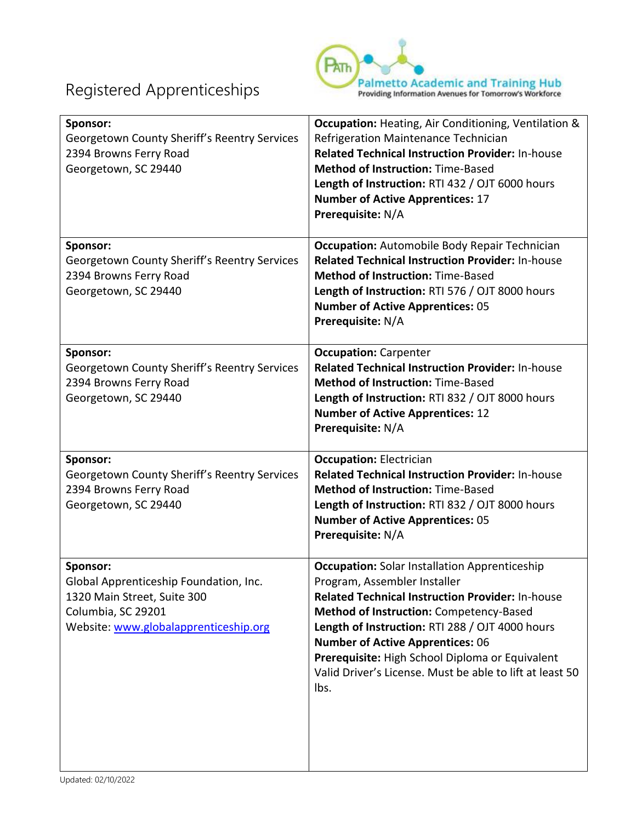

| Sponsor:<br>Georgetown County Sheriff's Reentry Services<br>2394 Browns Ferry Road<br>Georgetown, SC 29440                                       | <b>Occupation:</b> Heating, Air Conditioning, Ventilation &<br>Refrigeration Maintenance Technician<br><b>Related Technical Instruction Provider: In-house</b><br><b>Method of Instruction: Time-Based</b><br>Length of Instruction: RTI 432 / OJT 6000 hours<br><b>Number of Active Apprentices: 17</b><br>Prerequisite: N/A                                                                                   |
|--------------------------------------------------------------------------------------------------------------------------------------------------|-----------------------------------------------------------------------------------------------------------------------------------------------------------------------------------------------------------------------------------------------------------------------------------------------------------------------------------------------------------------------------------------------------------------|
| Sponsor:<br>Georgetown County Sheriff's Reentry Services<br>2394 Browns Ferry Road<br>Georgetown, SC 29440                                       | <b>Occupation:</b> Automobile Body Repair Technician<br><b>Related Technical Instruction Provider: In-house</b><br><b>Method of Instruction: Time-Based</b><br>Length of Instruction: RTI 576 / OJT 8000 hours<br><b>Number of Active Apprentices: 05</b><br>Prerequisite: N/A                                                                                                                                  |
| Sponsor:<br>Georgetown County Sheriff's Reentry Services<br>2394 Browns Ferry Road<br>Georgetown, SC 29440                                       | <b>Occupation: Carpenter</b><br>Related Technical Instruction Provider: In-house<br><b>Method of Instruction: Time-Based</b><br>Length of Instruction: RTI 832 / OJT 8000 hours<br><b>Number of Active Apprentices: 12</b><br>Prerequisite: N/A                                                                                                                                                                 |
| Sponsor:<br>Georgetown County Sheriff's Reentry Services<br>2394 Browns Ferry Road<br>Georgetown, SC 29440                                       | <b>Occupation: Electrician</b><br><b>Related Technical Instruction Provider: In-house</b><br><b>Method of Instruction: Time-Based</b><br>Length of Instruction: RTI 832 / OJT 8000 hours<br><b>Number of Active Apprentices: 05</b><br>Prerequisite: N/A                                                                                                                                                        |
| Sponsor:<br>Global Apprenticeship Foundation, Inc.<br>1320 Main Street, Suite 300<br>Columbia, SC 29201<br>Website: www.globalapprenticeship.org | <b>Occupation:</b> Solar Installation Apprenticeship<br>Program, Assembler Installer<br><b>Related Technical Instruction Provider: In-house</b><br>Method of Instruction: Competency-Based<br>Length of Instruction: RTI 288 / OJT 4000 hours<br><b>Number of Active Apprentices: 06</b><br>Prerequisite: High School Diploma or Equivalent<br>Valid Driver's License. Must be able to lift at least 50<br>lbs. |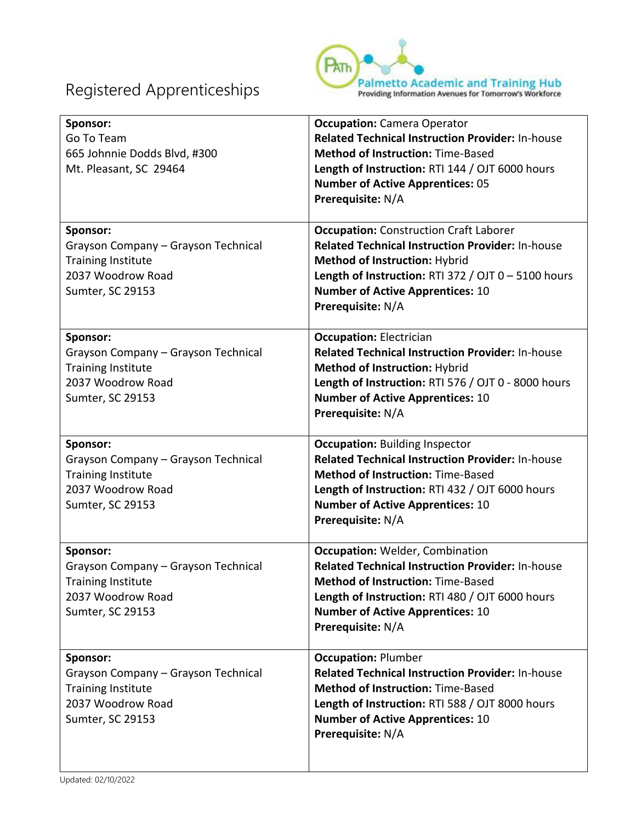

| Sponsor:<br>Go To Team<br>665 Johnnie Dodds Blvd, #300<br>Mt. Pleasant, SC 29464                                      | <b>Occupation:</b> Camera Operator<br><b>Related Technical Instruction Provider: In-house</b><br><b>Method of Instruction: Time-Based</b><br>Length of Instruction: RTI 144 / OJT 6000 hours<br><b>Number of Active Apprentices: 05</b><br>Prerequisite: N/A       |
|-----------------------------------------------------------------------------------------------------------------------|--------------------------------------------------------------------------------------------------------------------------------------------------------------------------------------------------------------------------------------------------------------------|
| Sponsor:<br>Grayson Company - Grayson Technical<br><b>Training Institute</b><br>2037 Woodrow Road<br>Sumter, SC 29153 | <b>Occupation:</b> Construction Craft Laborer<br><b>Related Technical Instruction Provider: In-house</b><br>Method of Instruction: Hybrid<br>Length of Instruction: RTI 372 / OJT $0 - 5100$ hours<br><b>Number of Active Apprentices: 10</b><br>Prerequisite: N/A |
| Sponsor:<br>Grayson Company - Grayson Technical<br><b>Training Institute</b><br>2037 Woodrow Road<br>Sumter, SC 29153 | <b>Occupation: Electrician</b><br><b>Related Technical Instruction Provider: In-house</b><br>Method of Instruction: Hybrid<br>Length of Instruction: RTI 576 / OJT 0 - 8000 hours<br><b>Number of Active Apprentices: 10</b><br>Prerequisite: N/A                  |
| Sponsor:<br>Grayson Company - Grayson Technical<br><b>Training Institute</b><br>2037 Woodrow Road<br>Sumter, SC 29153 | <b>Occupation: Building Inspector</b><br><b>Related Technical Instruction Provider: In-house</b><br><b>Method of Instruction: Time-Based</b><br>Length of Instruction: RTI 432 / OJT 6000 hours<br><b>Number of Active Apprentices: 10</b><br>Prerequisite: N/A    |
| Sponsor:<br>Grayson Company - Grayson Technical<br><b>Training Institute</b><br>2037 Woodrow Road<br>Sumter, SC 29153 | <b>Occupation: Welder, Combination</b><br><b>Related Technical Instruction Provider: In-house</b><br><b>Method of Instruction: Time-Based</b><br>Length of Instruction: RTI 480 / OJT 6000 hours<br><b>Number of Active Apprentices: 10</b><br>Prerequisite: N/A   |
| Sponsor:<br>Grayson Company - Grayson Technical<br><b>Training Institute</b><br>2037 Woodrow Road<br>Sumter, SC 29153 | <b>Occupation: Plumber</b><br><b>Related Technical Instruction Provider: In-house</b><br><b>Method of Instruction: Time-Based</b><br>Length of Instruction: RTI 588 / OJT 8000 hours<br><b>Number of Active Apprentices: 10</b><br>Prerequisite: N/A               |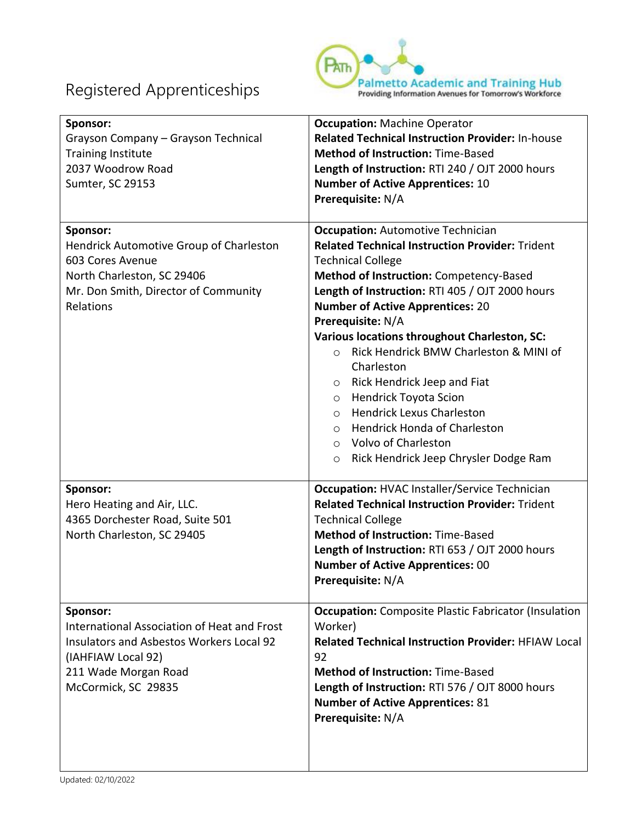

| Sponsor:<br>Grayson Company - Grayson Technical<br><b>Training Institute</b><br>2037 Woodrow Road<br>Sumter, SC 29153                                                           | <b>Occupation: Machine Operator</b><br><b>Related Technical Instruction Provider: In-house</b><br><b>Method of Instruction: Time-Based</b><br>Length of Instruction: RTI 240 / OJT 2000 hours<br><b>Number of Active Apprentices: 10</b><br>Prerequisite: N/A                                                                                                                                                                                                                                                                                                                                                                                                             |
|---------------------------------------------------------------------------------------------------------------------------------------------------------------------------------|---------------------------------------------------------------------------------------------------------------------------------------------------------------------------------------------------------------------------------------------------------------------------------------------------------------------------------------------------------------------------------------------------------------------------------------------------------------------------------------------------------------------------------------------------------------------------------------------------------------------------------------------------------------------------|
| Sponsor:<br>Hendrick Automotive Group of Charleston<br>603 Cores Avenue<br>North Charleston, SC 29406<br>Mr. Don Smith, Director of Community<br>Relations                      | <b>Occupation: Automotive Technician</b><br><b>Related Technical Instruction Provider: Trident</b><br><b>Technical College</b><br>Method of Instruction: Competency-Based<br>Length of Instruction: RTI 405 / OJT 2000 hours<br><b>Number of Active Apprentices: 20</b><br>Prerequisite: N/A<br>Various locations throughout Charleston, SC:<br>Rick Hendrick BMW Charleston & MINI of<br>$\circ$<br>Charleston<br>o Rick Hendrick Jeep and Fiat<br><b>Hendrick Toyota Scion</b><br>$\circ$<br><b>Hendrick Lexus Charleston</b><br>$\circ$<br>O Hendrick Honda of Charleston<br><b>Volvo of Charleston</b><br>$\circ$<br>Rick Hendrick Jeep Chrysler Dodge Ram<br>$\circ$ |
| Sponsor:<br>Hero Heating and Air, LLC.<br>4365 Dorchester Road, Suite 501<br>North Charleston, SC 29405                                                                         | <b>Occupation: HVAC Installer/Service Technician</b><br><b>Related Technical Instruction Provider: Trident</b><br><b>Technical College</b><br><b>Method of Instruction: Time-Based</b><br>Length of Instruction: RTI 653 / OJT 2000 hours<br><b>Number of Active Apprentices: 00</b><br>Prerequisite: N/A                                                                                                                                                                                                                                                                                                                                                                 |
| Sponsor:<br>International Association of Heat and Frost<br><b>Insulators and Asbestos Workers Local 92</b><br>(IAHFIAW Local 92)<br>211 Wade Morgan Road<br>McCormick, SC 29835 | <b>Occupation:</b> Composite Plastic Fabricator (Insulation<br>Worker)<br><b>Related Technical Instruction Provider: HFIAW Local</b><br>92<br><b>Method of Instruction: Time-Based</b><br>Length of Instruction: RTI 576 / OJT 8000 hours<br><b>Number of Active Apprentices: 81</b><br>Prerequisite: N/A                                                                                                                                                                                                                                                                                                                                                                 |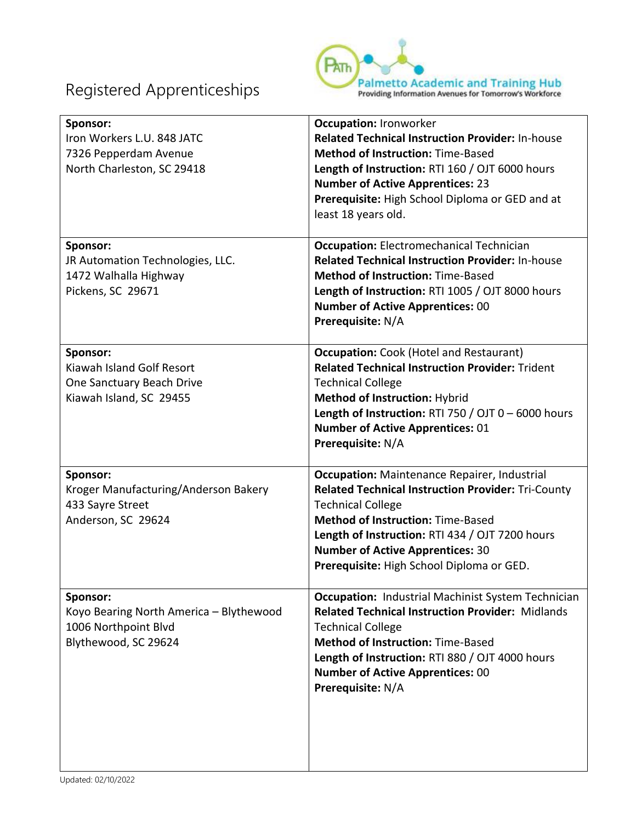

| Sponsor:<br>Iron Workers L.U. 848 JATC<br>7326 Pepperdam Avenue<br>North Charleston, SC 29418       | <b>Occupation: Ironworker</b><br><b>Related Technical Instruction Provider: In-house</b><br><b>Method of Instruction: Time-Based</b><br>Length of Instruction: RTI 160 / OJT 6000 hours<br><b>Number of Active Apprentices: 23</b><br>Prerequisite: High School Diploma or GED and at<br>least 18 years old.                        |
|-----------------------------------------------------------------------------------------------------|-------------------------------------------------------------------------------------------------------------------------------------------------------------------------------------------------------------------------------------------------------------------------------------------------------------------------------------|
| Sponsor:<br>JR Automation Technologies, LLC.<br>1472 Walhalla Highway<br>Pickens, SC 29671          | <b>Occupation:</b> Electromechanical Technician<br><b>Related Technical Instruction Provider: In-house</b><br><b>Method of Instruction: Time-Based</b><br>Length of Instruction: RTI 1005 / OJT 8000 hours<br><b>Number of Active Apprentices: 00</b><br>Prerequisite: N/A                                                          |
| Sponsor:<br>Kiawah Island Golf Resort<br>One Sanctuary Beach Drive<br>Kiawah Island, SC 29455       | <b>Occupation:</b> Cook (Hotel and Restaurant)<br><b>Related Technical Instruction Provider: Trident</b><br><b>Technical College</b><br>Method of Instruction: Hybrid<br>Length of Instruction: RTI 750 / OJT $0 - 6000$ hours<br><b>Number of Active Apprentices: 01</b><br>Prerequisite: N/A                                      |
| Sponsor:<br>Kroger Manufacturing/Anderson Bakery<br>433 Sayre Street<br>Anderson, SC 29624          | <b>Occupation:</b> Maintenance Repairer, Industrial<br><b>Related Technical Instruction Provider: Tri-County</b><br><b>Technical College</b><br><b>Method of Instruction: Time-Based</b><br>Length of Instruction: RTI 434 / OJT 7200 hours<br><b>Number of Active Apprentices: 30</b><br>Prerequisite: High School Diploma or GED. |
| Sponsor:<br>Koyo Bearing North America - Blythewood<br>1006 Northpoint Blvd<br>Blythewood, SC 29624 | <b>Occupation: Industrial Machinist System Technician</b><br><b>Related Technical Instruction Provider: Midlands</b><br><b>Technical College</b><br><b>Method of Instruction: Time-Based</b><br>Length of Instruction: RTI 880 / OJT 4000 hours<br><b>Number of Active Apprentices: 00</b><br>Prerequisite: N/A                     |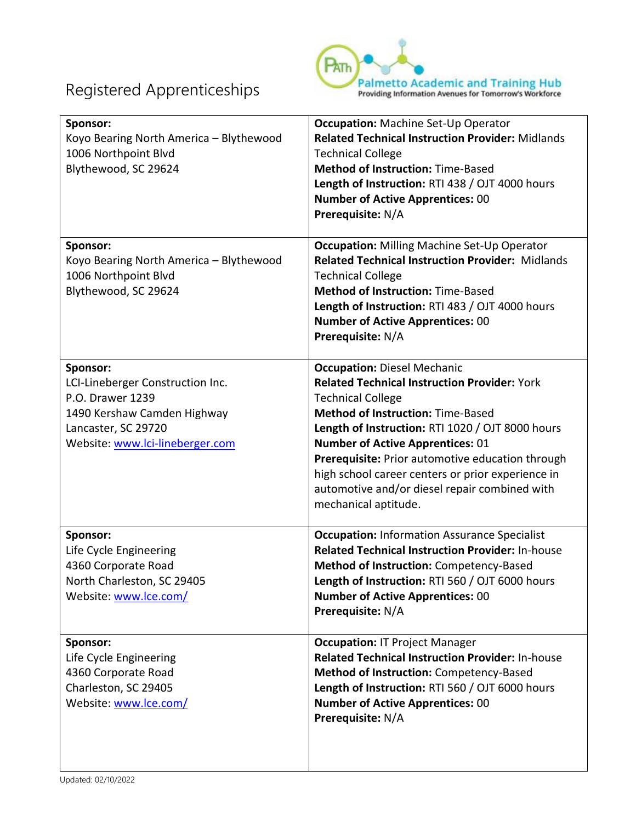

| Sponsor:<br>Koyo Bearing North America - Blythewood<br>1006 Northpoint Blvd<br>Blythewood, SC 29624                                                       | <b>Occupation: Machine Set-Up Operator</b><br><b>Related Technical Instruction Provider: Midlands</b><br><b>Technical College</b><br><b>Method of Instruction: Time-Based</b><br>Length of Instruction: RTI 438 / OJT 4000 hours<br><b>Number of Active Apprentices: 00</b><br>Prerequisite: N/A                                                                                                                                                   |
|-----------------------------------------------------------------------------------------------------------------------------------------------------------|----------------------------------------------------------------------------------------------------------------------------------------------------------------------------------------------------------------------------------------------------------------------------------------------------------------------------------------------------------------------------------------------------------------------------------------------------|
| Sponsor:<br>Koyo Bearing North America - Blythewood<br>1006 Northpoint Blvd<br>Blythewood, SC 29624                                                       | <b>Occupation: Milling Machine Set-Up Operator</b><br><b>Related Technical Instruction Provider: Midlands</b><br><b>Technical College</b><br><b>Method of Instruction: Time-Based</b><br>Length of Instruction: RTI 483 / OJT 4000 hours<br><b>Number of Active Apprentices: 00</b><br>Prerequisite: N/A                                                                                                                                           |
| Sponsor:<br>LCI-Lineberger Construction Inc.<br>P.O. Drawer 1239<br>1490 Kershaw Camden Highway<br>Lancaster, SC 29720<br>Website: www.lci-lineberger.com | <b>Occupation: Diesel Mechanic</b><br><b>Related Technical Instruction Provider: York</b><br><b>Technical College</b><br><b>Method of Instruction: Time-Based</b><br>Length of Instruction: RTI 1020 / OJT 8000 hours<br><b>Number of Active Apprentices: 01</b><br>Prerequisite: Prior automotive education through<br>high school career centers or prior experience in<br>automotive and/or diesel repair combined with<br>mechanical aptitude. |
| Sponsor:<br>Life Cycle Engineering<br>4360 Corporate Road<br>North Charleston, SC 29405<br>Website: www.lce.com/                                          | <b>Occupation: Information Assurance Specialist</b><br><b>Related Technical Instruction Provider: In-house</b><br>Method of Instruction: Competency-Based<br>Length of Instruction: RTI 560 / OJT 6000 hours<br><b>Number of Active Apprentices: 00</b><br>Prerequisite: N/A                                                                                                                                                                       |
| Sponsor:<br>Life Cycle Engineering<br>4360 Corporate Road<br>Charleston, SC 29405<br>Website: www.lce.com/                                                | <b>Occupation: IT Project Manager</b><br><b>Related Technical Instruction Provider: In-house</b><br>Method of Instruction: Competency-Based<br>Length of Instruction: RTI 560 / OJT 6000 hours<br><b>Number of Active Apprentices: 00</b><br>Prerequisite: N/A                                                                                                                                                                                     |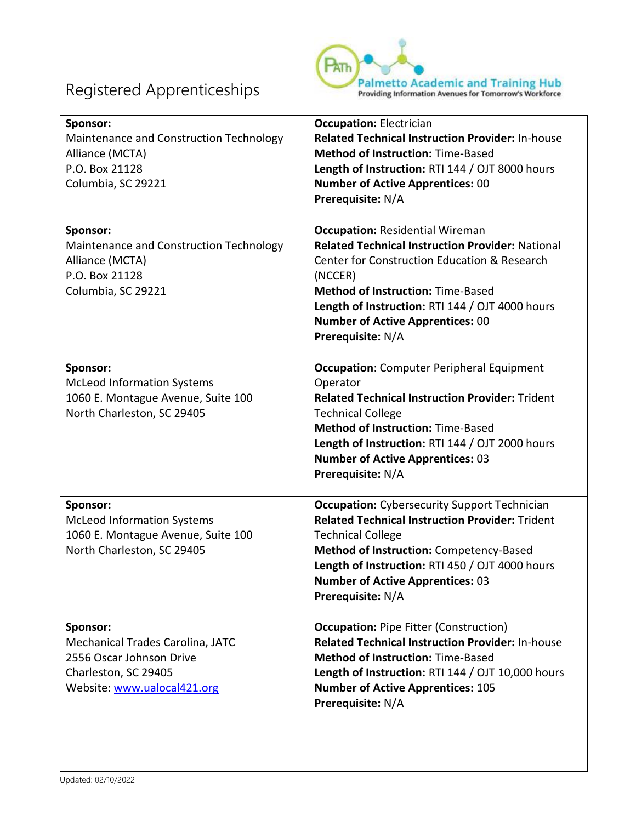

| Sponsor:<br>Maintenance and Construction Technology<br>Alliance (MCTA)<br>P.O. Box 21128<br>Columbia, SC 29221                  | <b>Occupation: Electrician</b><br><b>Related Technical Instruction Provider: In-house</b><br><b>Method of Instruction: Time-Based</b><br>Length of Instruction: RTI 144 / OJT 8000 hours<br><b>Number of Active Apprentices: 00</b><br>Prerequisite: N/A                                                                    |
|---------------------------------------------------------------------------------------------------------------------------------|-----------------------------------------------------------------------------------------------------------------------------------------------------------------------------------------------------------------------------------------------------------------------------------------------------------------------------|
| Sponsor:<br>Maintenance and Construction Technology<br>Alliance (MCTA)<br>P.O. Box 21128<br>Columbia, SC 29221                  | <b>Occupation: Residential Wireman</b><br><b>Related Technical Instruction Provider: National</b><br>Center for Construction Education & Research<br>(NCCER)<br><b>Method of Instruction: Time-Based</b><br>Length of Instruction: RTI 144 / OJT 4000 hours<br><b>Number of Active Apprentices: 00</b><br>Prerequisite: N/A |
| Sponsor:<br><b>McLeod Information Systems</b><br>1060 E. Montague Avenue, Suite 100<br>North Charleston, SC 29405               | <b>Occupation:</b> Computer Peripheral Equipment<br>Operator<br><b>Related Technical Instruction Provider: Trident</b><br><b>Technical College</b><br><b>Method of Instruction: Time-Based</b><br>Length of Instruction: RTI 144 / OJT 2000 hours<br><b>Number of Active Apprentices: 03</b><br>Prerequisite: N/A           |
| Sponsor:<br><b>McLeod Information Systems</b><br>1060 E. Montague Avenue, Suite 100<br>North Charleston, SC 29405               | <b>Occupation:</b> Cybersecurity Support Technician<br><b>Related Technical Instruction Provider: Trident</b><br><b>Technical College</b><br>Method of Instruction: Competency-Based<br>Length of Instruction: RTI 450 / OJT 4000 hours<br><b>Number of Active Apprentices: 03</b><br>Prerequisite: N/A                     |
| Sponsor:<br>Mechanical Trades Carolina, JATC<br>2556 Oscar Johnson Drive<br>Charleston, SC 29405<br>Website: www.ualocal421.org | <b>Occupation: Pipe Fitter (Construction)</b><br><b>Related Technical Instruction Provider: In-house</b><br><b>Method of Instruction: Time-Based</b><br>Length of Instruction: RTI 144 / OJT 10,000 hours<br><b>Number of Active Apprentices: 105</b><br>Prerequisite: N/A                                                  |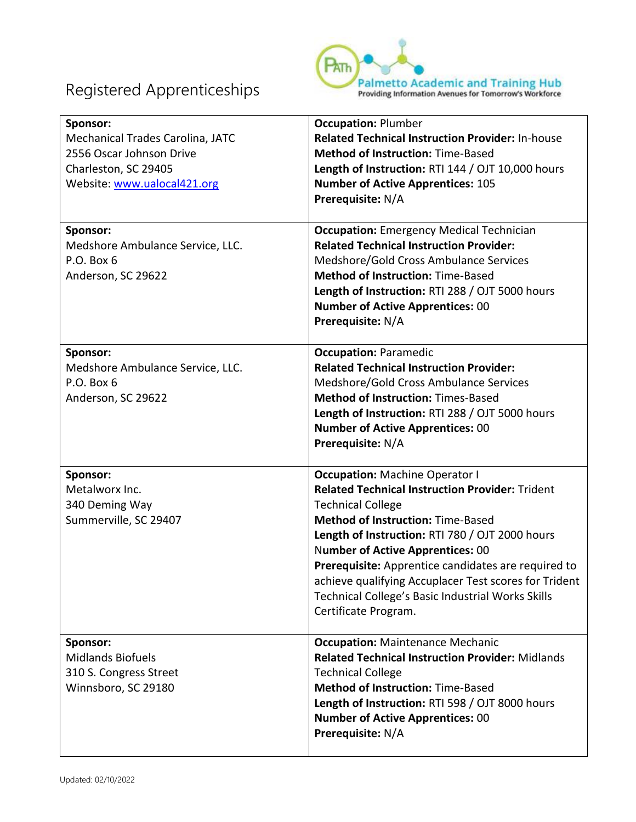

| Sponsor:<br>Mechanical Trades Carolina, JATC<br>2556 Oscar Johnson Drive<br>Charleston, SC 29405<br>Website: www.ualocal421.org | <b>Occupation: Plumber</b><br><b>Related Technical Instruction Provider: In-house</b><br><b>Method of Instruction: Time-Based</b><br>Length of Instruction: RTI 144 / OJT 10,000 hours<br><b>Number of Active Apprentices: 105</b><br>Prerequisite: N/A                                                                                                                                                                                                            |
|---------------------------------------------------------------------------------------------------------------------------------|--------------------------------------------------------------------------------------------------------------------------------------------------------------------------------------------------------------------------------------------------------------------------------------------------------------------------------------------------------------------------------------------------------------------------------------------------------------------|
| Sponsor:<br>Medshore Ambulance Service, LLC.<br>P.O. Box 6<br>Anderson, SC 29622                                                | <b>Occupation:</b> Emergency Medical Technician<br><b>Related Technical Instruction Provider:</b><br>Medshore/Gold Cross Ambulance Services<br><b>Method of Instruction: Time-Based</b><br>Length of Instruction: RTI 288 / OJT 5000 hours<br><b>Number of Active Apprentices: 00</b><br>Prerequisite: N/A                                                                                                                                                         |
| Sponsor:<br>Medshore Ambulance Service, LLC.<br>$P.O.$ Box $6$<br>Anderson, SC 29622                                            | <b>Occupation: Paramedic</b><br><b>Related Technical Instruction Provider:</b><br>Medshore/Gold Cross Ambulance Services<br><b>Method of Instruction: Times-Based</b><br>Length of Instruction: RTI 288 / OJT 5000 hours<br><b>Number of Active Apprentices: 00</b><br>Prerequisite: N/A                                                                                                                                                                           |
| Sponsor:<br>Metalworx Inc.<br>340 Deming Way<br>Summerville, SC 29407                                                           | <b>Occupation: Machine Operator I</b><br><b>Related Technical Instruction Provider: Trident</b><br><b>Technical College</b><br><b>Method of Instruction: Time-Based</b><br>Length of Instruction: RTI 780 / OJT 2000 hours<br><b>Number of Active Apprentices: 00</b><br>Prerequisite: Apprentice candidates are required to<br>achieve qualifying Accuplacer Test scores for Trident<br>Technical College's Basic Industrial Works Skills<br>Certificate Program. |
| Sponsor:<br><b>Midlands Biofuels</b><br>310 S. Congress Street<br>Winnsboro, SC 29180                                           | <b>Occupation: Maintenance Mechanic</b><br><b>Related Technical Instruction Provider: Midlands</b><br><b>Technical College</b><br><b>Method of Instruction: Time-Based</b><br>Length of Instruction: RTI 598 / OJT 8000 hours<br><b>Number of Active Apprentices: 00</b><br>Prerequisite: N/A                                                                                                                                                                      |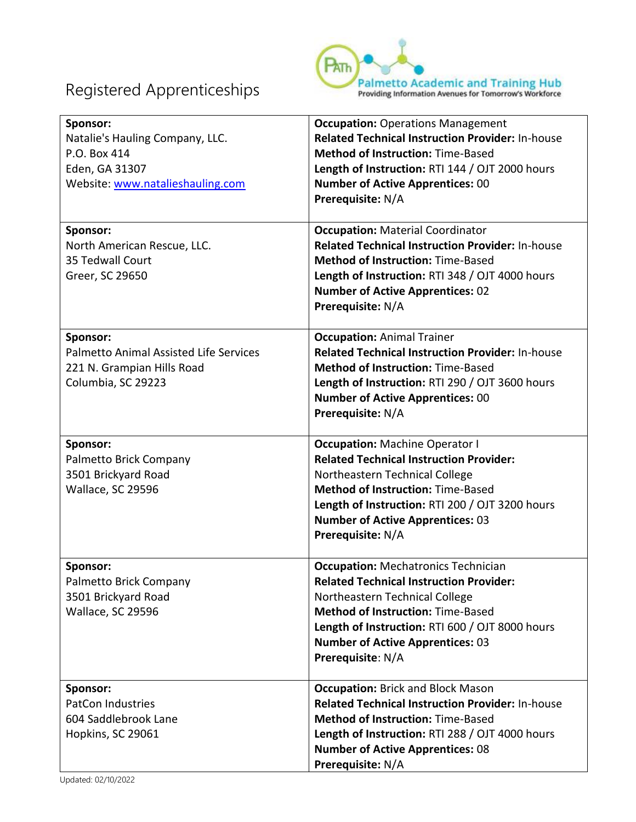

| Sponsor:<br>Natalie's Hauling Company, LLC.<br>P.O. Box 414<br>Eden, GA 31307<br>Website: www.natalieshauling.com | <b>Occupation: Operations Management</b><br><b>Related Technical Instruction Provider: In-house</b><br><b>Method of Instruction: Time-Based</b><br>Length of Instruction: RTI 144 / OJT 2000 hours<br><b>Number of Active Apprentices: 00</b><br>Prerequisite: N/A                            |
|-------------------------------------------------------------------------------------------------------------------|-----------------------------------------------------------------------------------------------------------------------------------------------------------------------------------------------------------------------------------------------------------------------------------------------|
| Sponsor:<br>North American Rescue, LLC.<br>35 Tedwall Court<br>Greer, SC 29650                                    | <b>Occupation: Material Coordinator</b><br><b>Related Technical Instruction Provider: In-house</b><br><b>Method of Instruction: Time-Based</b><br>Length of Instruction: RTI 348 / OJT 4000 hours<br><b>Number of Active Apprentices: 02</b><br>Prerequisite: N/A                             |
| Sponsor:<br><b>Palmetto Animal Assisted Life Services</b><br>221 N. Grampian Hills Road<br>Columbia, SC 29223     | <b>Occupation: Animal Trainer</b><br><b>Related Technical Instruction Provider: In-house</b><br><b>Method of Instruction: Time-Based</b><br>Length of Instruction: RTI 290 / OJT 3600 hours<br><b>Number of Active Apprentices: 00</b><br>Prerequisite: N/A                                   |
| Sponsor:<br>Palmetto Brick Company<br>3501 Brickyard Road<br>Wallace, SC 29596                                    | <b>Occupation: Machine Operator I</b><br><b>Related Technical Instruction Provider:</b><br>Northeastern Technical College<br><b>Method of Instruction: Time-Based</b><br>Length of Instruction: RTI 200 / OJT 3200 hours<br><b>Number of Active Apprentices: 03</b><br>Prerequisite: N/A      |
| Sponsor:<br>Palmetto Brick Company<br>3501 Brickyard Road<br>Wallace, SC 29596                                    | <b>Occupation: Mechatronics Technician</b><br><b>Related Technical Instruction Provider:</b><br>Northeastern Technical College<br><b>Method of Instruction: Time-Based</b><br>Length of Instruction: RTI 600 / OJT 8000 hours<br><b>Number of Active Apprentices: 03</b><br>Prerequisite: N/A |
| Sponsor:<br><b>PatCon Industries</b><br>604 Saddlebrook Lane<br>Hopkins, SC 29061                                 | <b>Occupation: Brick and Block Mason</b><br><b>Related Technical Instruction Provider: In-house</b><br><b>Method of Instruction: Time-Based</b><br>Length of Instruction: RTI 288 / OJT 4000 hours<br><b>Number of Active Apprentices: 08</b><br>Prerequisite: N/A                            |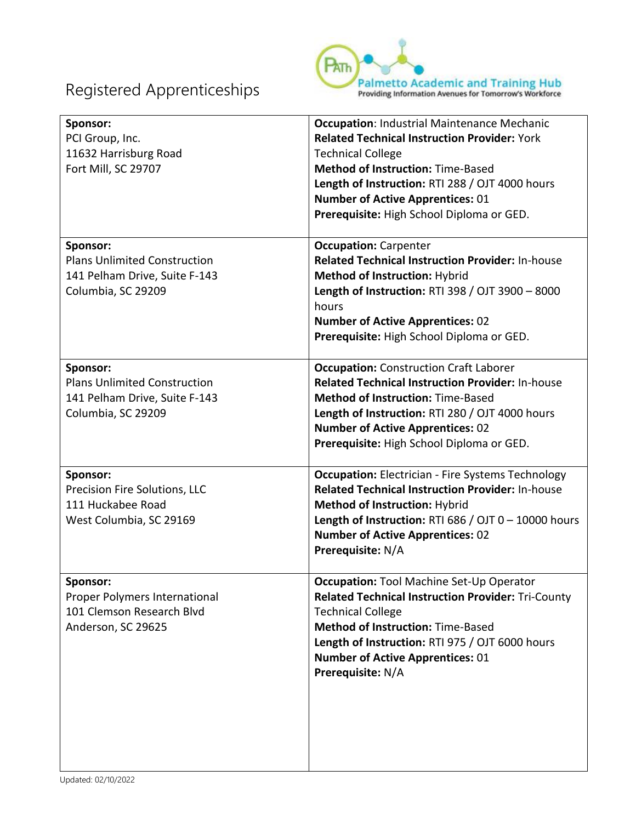

| Sponsor:<br>PCI Group, Inc.<br>11632 Harrisburg Road<br>Fort Mill, SC 29707                            | <b>Occupation: Industrial Maintenance Mechanic</b><br><b>Related Technical Instruction Provider: York</b><br><b>Technical College</b><br><b>Method of Instruction: Time-Based</b><br>Length of Instruction: RTI 288 / OJT 4000 hours<br><b>Number of Active Apprentices: 01</b><br>Prerequisite: High School Diploma or GED. |
|--------------------------------------------------------------------------------------------------------|------------------------------------------------------------------------------------------------------------------------------------------------------------------------------------------------------------------------------------------------------------------------------------------------------------------------------|
| Sponsor:<br><b>Plans Unlimited Construction</b><br>141 Pelham Drive, Suite F-143<br>Columbia, SC 29209 | <b>Occupation: Carpenter</b><br><b>Related Technical Instruction Provider: In-house</b><br>Method of Instruction: Hybrid<br>Length of Instruction: RTI 398 / OJT 3900 - 8000<br>hours<br><b>Number of Active Apprentices: 02</b><br>Prerequisite: High School Diploma or GED.                                                |
| Sponsor:<br><b>Plans Unlimited Construction</b><br>141 Pelham Drive, Suite F-143<br>Columbia, SC 29209 | <b>Occupation: Construction Craft Laborer</b><br><b>Related Technical Instruction Provider: In-house</b><br><b>Method of Instruction: Time-Based</b><br>Length of Instruction: RTI 280 / OJT 4000 hours<br><b>Number of Active Apprentices: 02</b><br>Prerequisite: High School Diploma or GED.                              |
| Sponsor:<br>Precision Fire Solutions, LLC<br>111 Huckabee Road<br>West Columbia, SC 29169              | <b>Occupation:</b> Electrician - Fire Systems Technology<br><b>Related Technical Instruction Provider: In-house</b><br><b>Method of Instruction: Hybrid</b><br>Length of Instruction: RTI 686 / OJT $0 - 10000$ hours<br><b>Number of Active Apprentices: 02</b><br>Prerequisite: N/A                                        |
| Sponsor:<br>Proper Polymers International<br>101 Clemson Research Blvd<br>Anderson, SC 29625           | <b>Occupation: Tool Machine Set-Up Operator</b><br><b>Related Technical Instruction Provider: Tri-County</b><br><b>Technical College</b><br><b>Method of Instruction: Time-Based</b><br>Length of Instruction: RTI 975 / OJT 6000 hours<br><b>Number of Active Apprentices: 01</b><br>Prerequisite: N/A                      |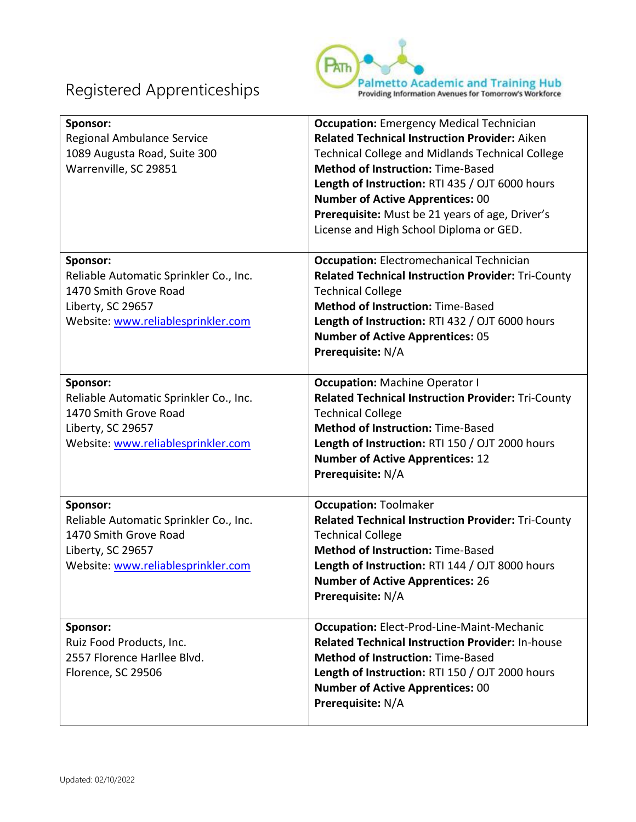

| Sponsor:<br>Regional Ambulance Service<br>1089 Augusta Road, Suite 300<br>Warrenville, SC 29851                                        | <b>Occupation:</b> Emergency Medical Technician<br><b>Related Technical Instruction Provider: Aiken</b><br><b>Technical College and Midlands Technical College</b><br><b>Method of Instruction: Time-Based</b><br>Length of Instruction: RTI 435 / OJT 6000 hours<br><b>Number of Active Apprentices: 00</b><br>Prerequisite: Must be 21 years of age, Driver's<br>License and High School Diploma or GED. |
|----------------------------------------------------------------------------------------------------------------------------------------|------------------------------------------------------------------------------------------------------------------------------------------------------------------------------------------------------------------------------------------------------------------------------------------------------------------------------------------------------------------------------------------------------------|
| Sponsor:<br>Reliable Automatic Sprinkler Co., Inc.<br>1470 Smith Grove Road<br>Liberty, SC 29657<br>Website: www.reliablesprinkler.com | <b>Occupation:</b> Electromechanical Technician<br><b>Related Technical Instruction Provider: Tri-County</b><br><b>Technical College</b><br><b>Method of Instruction: Time-Based</b><br>Length of Instruction: RTI 432 / OJT 6000 hours<br><b>Number of Active Apprentices: 05</b><br>Prerequisite: N/A                                                                                                    |
| Sponsor:<br>Reliable Automatic Sprinkler Co., Inc.<br>1470 Smith Grove Road<br>Liberty, SC 29657<br>Website: www.reliablesprinkler.com | <b>Occupation: Machine Operator I</b><br><b>Related Technical Instruction Provider: Tri-County</b><br><b>Technical College</b><br><b>Method of Instruction: Time-Based</b><br>Length of Instruction: RTI 150 / OJT 2000 hours<br><b>Number of Active Apprentices: 12</b><br>Prerequisite: N/A                                                                                                              |
| Sponsor:<br>Reliable Automatic Sprinkler Co., Inc.<br>1470 Smith Grove Road<br>Liberty, SC 29657<br>Website: www.reliablesprinkler.com | <b>Occupation: Toolmaker</b><br><b>Related Technical Instruction Provider: Tri-County</b><br><b>Technical College</b><br><b>Method of Instruction: Time-Based</b><br>Length of Instruction: RTI 144 / OJT 8000 hours<br><b>Number of Active Apprentices: 26</b><br>Prerequisite: N/A                                                                                                                       |
| Sponsor:<br>Ruiz Food Products, Inc.<br>2557 Florence Harllee Blvd.<br>Florence, SC 29506                                              | <b>Occupation:</b> Elect-Prod-Line-Maint-Mechanic<br><b>Related Technical Instruction Provider: In-house</b><br><b>Method of Instruction: Time-Based</b><br>Length of Instruction: RTI 150 / OJT 2000 hours<br><b>Number of Active Apprentices: 00</b><br>Prerequisite: N/A                                                                                                                                |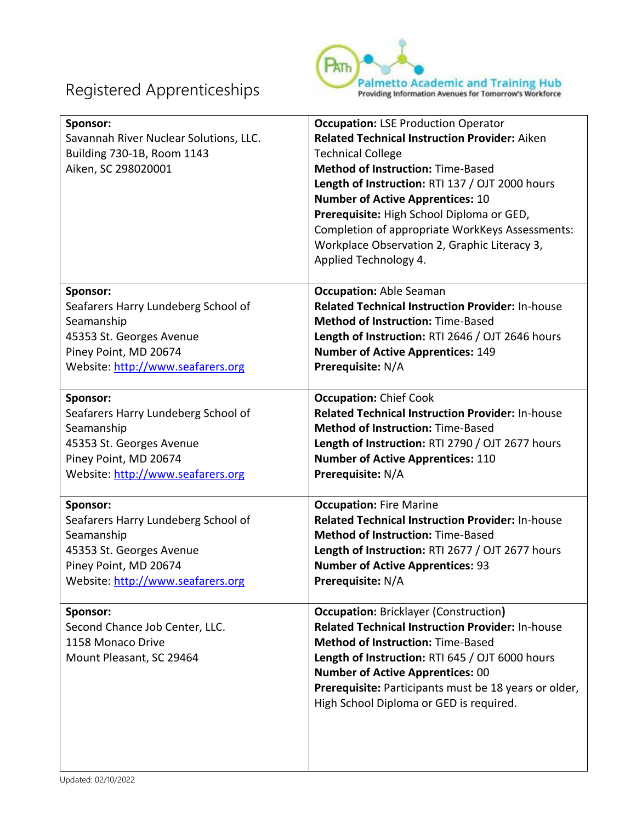

| Sponsor:<br>Savannah River Nuclear Solutions, LLC.<br>Building 730-1B, Room 1143<br>Aiken, SC 298020001 | <b>Occupation: LSE Production Operator</b><br><b>Related Technical Instruction Provider: Aiken</b><br><b>Technical College</b><br><b>Method of Instruction: Time-Based</b><br>Length of Instruction: RTI 137 / OJT 2000 hours<br><b>Number of Active Apprentices: 10</b><br>Prerequisite: High School Diploma or GED,<br>Completion of appropriate WorkKeys Assessments:<br>Workplace Observation 2, Graphic Literacy 3,<br>Applied Technology 4. |
|---------------------------------------------------------------------------------------------------------|---------------------------------------------------------------------------------------------------------------------------------------------------------------------------------------------------------------------------------------------------------------------------------------------------------------------------------------------------------------------------------------------------------------------------------------------------|
| Sponsor:                                                                                                | <b>Occupation: Able Seaman</b>                                                                                                                                                                                                                                                                                                                                                                                                                    |
| Seafarers Harry Lundeberg School of                                                                     | <b>Related Technical Instruction Provider: In-house</b>                                                                                                                                                                                                                                                                                                                                                                                           |
| Seamanship                                                                                              | <b>Method of Instruction: Time-Based</b>                                                                                                                                                                                                                                                                                                                                                                                                          |
| 45353 St. Georges Avenue                                                                                | Length of Instruction: RTI 2646 / OJT 2646 hours                                                                                                                                                                                                                                                                                                                                                                                                  |
| Piney Point, MD 20674                                                                                   | <b>Number of Active Apprentices: 149</b>                                                                                                                                                                                                                                                                                                                                                                                                          |
| Website: http://www.seafarers.org                                                                       | Prerequisite: N/A                                                                                                                                                                                                                                                                                                                                                                                                                                 |
| Sponsor:                                                                                                | <b>Occupation: Chief Cook</b>                                                                                                                                                                                                                                                                                                                                                                                                                     |
| Seafarers Harry Lundeberg School of                                                                     | <b>Related Technical Instruction Provider: In-house</b>                                                                                                                                                                                                                                                                                                                                                                                           |
| Seamanship                                                                                              | <b>Method of Instruction: Time-Based</b>                                                                                                                                                                                                                                                                                                                                                                                                          |
| 45353 St. Georges Avenue                                                                                | Length of Instruction: RTI 2790 / OJT 2677 hours                                                                                                                                                                                                                                                                                                                                                                                                  |
| Piney Point, MD 20674                                                                                   | <b>Number of Active Apprentices: 110</b>                                                                                                                                                                                                                                                                                                                                                                                                          |
| Website: http://www.seafarers.org                                                                       | Prerequisite: N/A                                                                                                                                                                                                                                                                                                                                                                                                                                 |
| Sponsor:                                                                                                | <b>Occupation: Fire Marine</b>                                                                                                                                                                                                                                                                                                                                                                                                                    |
| Seafarers Harry Lundeberg School of                                                                     | <b>Related Technical Instruction Provider: In-house</b>                                                                                                                                                                                                                                                                                                                                                                                           |
| Seamanship                                                                                              | <b>Method of Instruction: Time-Based</b>                                                                                                                                                                                                                                                                                                                                                                                                          |
| 45353 St. Georges Avenue                                                                                | Length of Instruction: RTI 2677 / OJT 2677 hours                                                                                                                                                                                                                                                                                                                                                                                                  |
| Piney Point, MD 20674                                                                                   | <b>Number of Active Apprentices: 93</b>                                                                                                                                                                                                                                                                                                                                                                                                           |
| Website: http://www.seafarers.org                                                                       | Prerequisite: N/A                                                                                                                                                                                                                                                                                                                                                                                                                                 |
| Sponsor:<br>Second Chance Job Center, LLC.<br>1158 Monaco Drive<br>Mount Pleasant, SC 29464             | <b>Occupation: Bricklayer (Construction)</b><br><b>Related Technical Instruction Provider: In-house</b><br><b>Method of Instruction: Time-Based</b><br>Length of Instruction: RTI 645 / OJT 6000 hours<br><b>Number of Active Apprentices: 00</b><br>Prerequisite: Participants must be 18 years or older,<br>High School Diploma or GED is required.                                                                                             |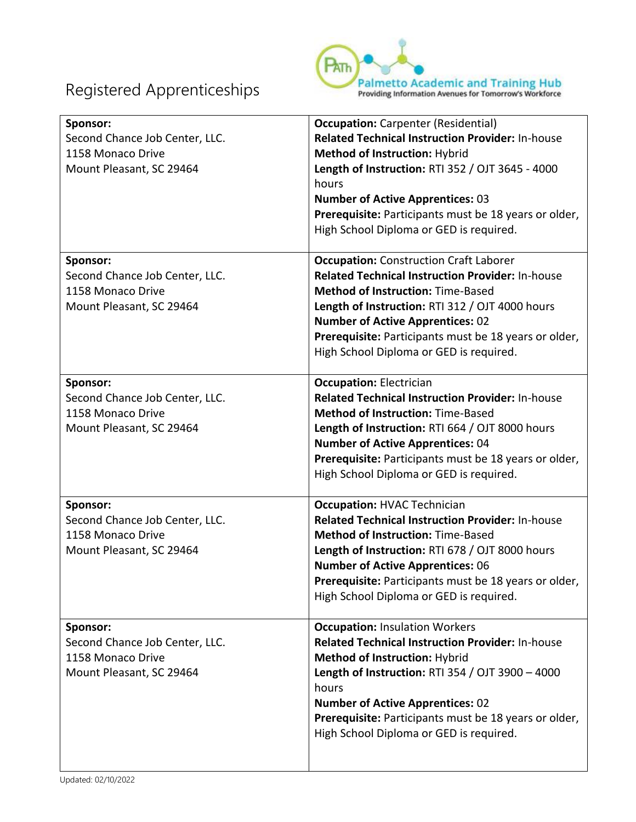

| Sponsor:<br>Second Chance Job Center, LLC.<br>1158 Monaco Drive<br>Mount Pleasant, SC 29464 | <b>Occupation:</b> Carpenter (Residential)<br><b>Related Technical Instruction Provider: In-house</b><br>Method of Instruction: Hybrid<br>Length of Instruction: RTI 352 / OJT 3645 - 4000<br>hours<br><b>Number of Active Apprentices: 03</b><br>Prerequisite: Participants must be 18 years or older,<br>High School Diploma or GED is required.     |
|---------------------------------------------------------------------------------------------|--------------------------------------------------------------------------------------------------------------------------------------------------------------------------------------------------------------------------------------------------------------------------------------------------------------------------------------------------------|
| Sponsor:<br>Second Chance Job Center, LLC.<br>1158 Monaco Drive<br>Mount Pleasant, SC 29464 | <b>Occupation:</b> Construction Craft Laborer<br><b>Related Technical Instruction Provider: In-house</b><br><b>Method of Instruction: Time-Based</b><br>Length of Instruction: RTI 312 / OJT 4000 hours<br><b>Number of Active Apprentices: 02</b><br>Prerequisite: Participants must be 18 years or older,<br>High School Diploma or GED is required. |
| Sponsor:<br>Second Chance Job Center, LLC.<br>1158 Monaco Drive<br>Mount Pleasant, SC 29464 | <b>Occupation: Electrician</b><br><b>Related Technical Instruction Provider: In-house</b><br><b>Method of Instruction: Time-Based</b><br>Length of Instruction: RTI 664 / OJT 8000 hours<br><b>Number of Active Apprentices: 04</b><br>Prerequisite: Participants must be 18 years or older,<br>High School Diploma or GED is required.                |
| Sponsor:<br>Second Chance Job Center, LLC.<br>1158 Monaco Drive<br>Mount Pleasant, SC 29464 | <b>Occupation: HVAC Technician</b><br><b>Related Technical Instruction Provider: In-house</b><br><b>Method of Instruction: Time-Based</b><br>Length of Instruction: RTI 678 / OJT 8000 hours<br><b>Number of Active Apprentices: 06</b><br>Prerequisite: Participants must be 18 years or older,<br>High School Diploma or GED is required.            |
| Sponsor:<br>Second Chance Job Center, LLC.<br>1158 Monaco Drive<br>Mount Pleasant, SC 29464 | <b>Occupation: Insulation Workers</b><br><b>Related Technical Instruction Provider: In-house</b><br><b>Method of Instruction: Hybrid</b><br>Length of Instruction: RTI 354 / OJT 3900 - 4000<br>hours<br><b>Number of Active Apprentices: 02</b><br>Prerequisite: Participants must be 18 years or older,<br>High School Diploma or GED is required.   |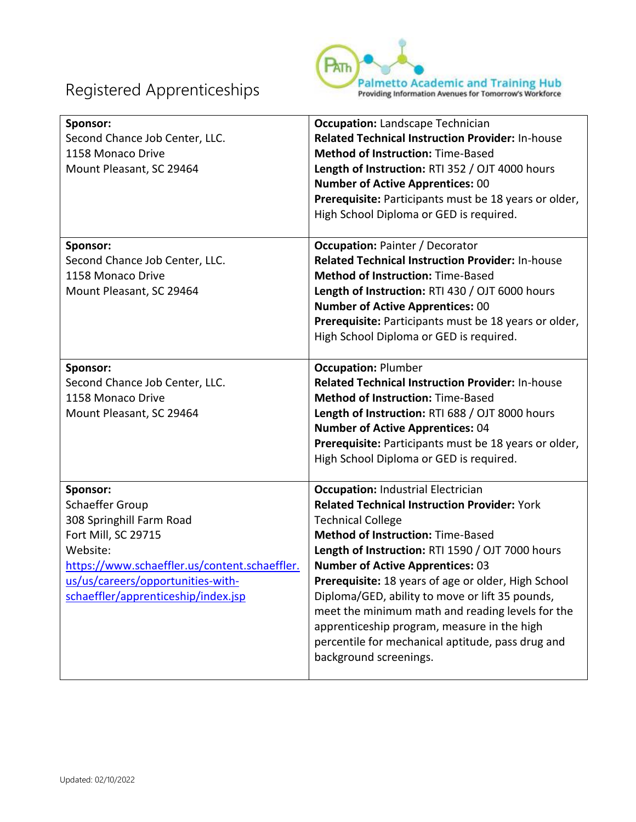

| Sponsor:<br>Second Chance Job Center, LLC.<br>1158 Monaco Drive<br>Mount Pleasant, SC 29464                                                                                                                             | <b>Occupation: Landscape Technician</b><br><b>Related Technical Instruction Provider: In-house</b><br><b>Method of Instruction: Time-Based</b><br>Length of Instruction: RTI 352 / OJT 4000 hours<br><b>Number of Active Apprentices: 00</b><br>Prerequisite: Participants must be 18 years or older,<br>High School Diploma or GED is required.                                                                                                                                                                                                                    |
|-------------------------------------------------------------------------------------------------------------------------------------------------------------------------------------------------------------------------|---------------------------------------------------------------------------------------------------------------------------------------------------------------------------------------------------------------------------------------------------------------------------------------------------------------------------------------------------------------------------------------------------------------------------------------------------------------------------------------------------------------------------------------------------------------------|
| Sponsor:<br>Second Chance Job Center, LLC.<br>1158 Monaco Drive<br>Mount Pleasant, SC 29464                                                                                                                             | <b>Occupation: Painter / Decorator</b><br><b>Related Technical Instruction Provider: In-house</b><br><b>Method of Instruction: Time-Based</b><br>Length of Instruction: RTI 430 / OJT 6000 hours<br><b>Number of Active Apprentices: 00</b><br>Prerequisite: Participants must be 18 years or older,<br>High School Diploma or GED is required.                                                                                                                                                                                                                     |
| Sponsor:<br>Second Chance Job Center, LLC.<br>1158 Monaco Drive<br>Mount Pleasant, SC 29464                                                                                                                             | <b>Occupation: Plumber</b><br><b>Related Technical Instruction Provider: In-house</b><br><b>Method of Instruction: Time-Based</b><br>Length of Instruction: RTI 688 / OJT 8000 hours<br><b>Number of Active Apprentices: 04</b><br>Prerequisite: Participants must be 18 years or older,<br>High School Diploma or GED is required.                                                                                                                                                                                                                                 |
| Sponsor:<br>Schaeffer Group<br>308 Springhill Farm Road<br>Fort Mill, SC 29715<br>Website:<br>https://www.schaeffler.us/content.schaeffler.<br>us/us/careers/opportunities-with-<br>schaeffler/apprenticeship/index.jsp | <b>Occupation: Industrial Electrician</b><br><b>Related Technical Instruction Provider: York</b><br><b>Technical College</b><br><b>Method of Instruction: Time-Based</b><br>Length of Instruction: RTI 1590 / OJT 7000 hours<br><b>Number of Active Apprentices: 03</b><br>Prerequisite: 18 years of age or older, High School<br>Diploma/GED, ability to move or lift 35 pounds,<br>meet the minimum math and reading levels for the<br>apprenticeship program, measure in the high<br>percentile for mechanical aptitude, pass drug and<br>background screenings. |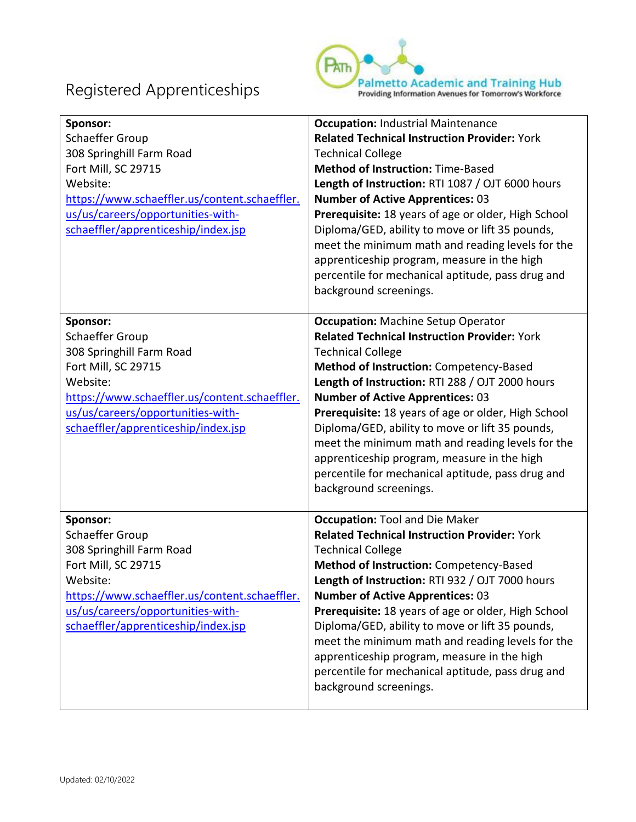

| Sponsor:<br>Schaeffer Group<br>308 Springhill Farm Road<br>Fort Mill, SC 29715<br>Website:<br>https://www.schaeffler.us/content.schaeffler.<br>us/us/careers/opportunities-with-<br>schaeffler/apprenticeship/index.jsp | <b>Occupation: Industrial Maintenance</b><br><b>Related Technical Instruction Provider: York</b><br><b>Technical College</b><br><b>Method of Instruction: Time-Based</b><br>Length of Instruction: RTI 1087 / OJT 6000 hours<br><b>Number of Active Apprentices: 03</b><br>Prerequisite: 18 years of age or older, High School<br>Diploma/GED, ability to move or lift 35 pounds,<br>meet the minimum math and reading levels for the<br>apprenticeship program, measure in the high<br>percentile for mechanical aptitude, pass drug and<br>background screenings. |
|-------------------------------------------------------------------------------------------------------------------------------------------------------------------------------------------------------------------------|---------------------------------------------------------------------------------------------------------------------------------------------------------------------------------------------------------------------------------------------------------------------------------------------------------------------------------------------------------------------------------------------------------------------------------------------------------------------------------------------------------------------------------------------------------------------|
| Sponsor:<br>Schaeffer Group<br>308 Springhill Farm Road<br>Fort Mill, SC 29715<br>Website:<br>https://www.schaeffler.us/content.schaeffler.<br>us/us/careers/opportunities-with-<br>schaeffler/apprenticeship/index.jsp | <b>Occupation: Machine Setup Operator</b><br><b>Related Technical Instruction Provider: York</b><br><b>Technical College</b><br>Method of Instruction: Competency-Based<br>Length of Instruction: RTI 288 / OJT 2000 hours<br><b>Number of Active Apprentices: 03</b><br>Prerequisite: 18 years of age or older, High School<br>Diploma/GED, ability to move or lift 35 pounds,<br>meet the minimum math and reading levels for the<br>apprenticeship program, measure in the high<br>percentile for mechanical aptitude, pass drug and<br>background screenings.   |
| Sponsor:<br>Schaeffer Group<br>308 Springhill Farm Road<br>Fort Mill, SC 29715<br>Website:<br>https://www.schaeffler.us/content.schaeffler.<br>us/us/careers/opportunities-with-<br>schaeffler/apprenticeship/index.jsp | <b>Occupation: Tool and Die Maker</b><br><b>Related Technical Instruction Provider: York</b><br><b>Technical College</b><br>Method of Instruction: Competency-Based<br>Length of Instruction: RTI 932 / OJT 7000 hours<br><b>Number of Active Apprentices: 03</b><br>Prerequisite: 18 years of age or older, High School<br>Diploma/GED, ability to move or lift 35 pounds,<br>meet the minimum math and reading levels for the<br>apprenticeship program, measure in the high<br>percentile for mechanical aptitude, pass drug and<br>background screenings.       |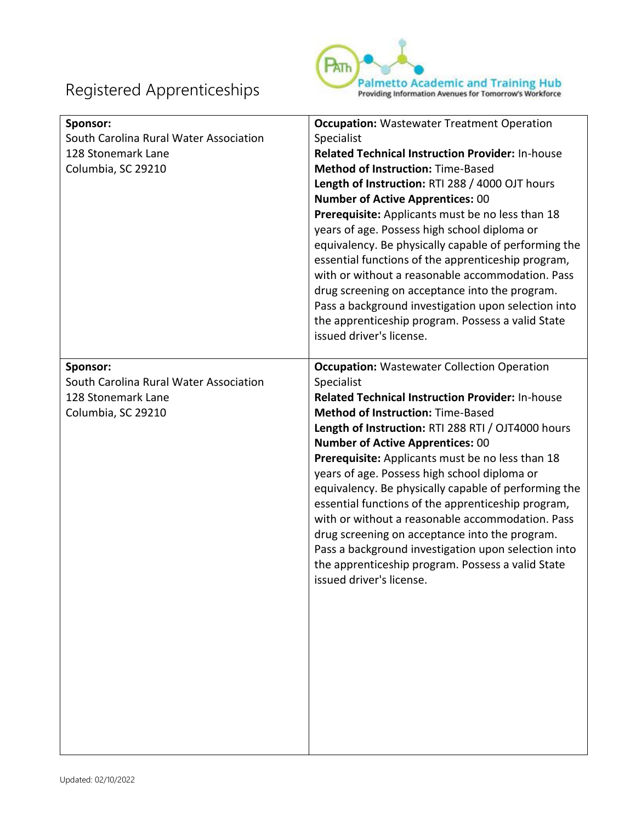

| Sponsor:<br>South Carolina Rural Water Association<br>128 Stonemark Lane<br>Columbia, SC 29210 | <b>Occupation:</b> Wastewater Treatment Operation<br>Specialist<br><b>Related Technical Instruction Provider: In-house</b><br><b>Method of Instruction: Time-Based</b><br>Length of Instruction: RTI 288 / 4000 OJT hours<br><b>Number of Active Apprentices: 00</b><br>Prerequisite: Applicants must be no less than 18<br>years of age. Possess high school diploma or<br>equivalency. Be physically capable of performing the<br>essential functions of the apprenticeship program,<br>with or without a reasonable accommodation. Pass<br>drug screening on acceptance into the program.<br>Pass a background investigation upon selection into<br>the apprenticeship program. Possess a valid State<br>issued driver's license.     |
|------------------------------------------------------------------------------------------------|------------------------------------------------------------------------------------------------------------------------------------------------------------------------------------------------------------------------------------------------------------------------------------------------------------------------------------------------------------------------------------------------------------------------------------------------------------------------------------------------------------------------------------------------------------------------------------------------------------------------------------------------------------------------------------------------------------------------------------------|
| Sponsor:<br>South Carolina Rural Water Association<br>128 Stonemark Lane<br>Columbia, SC 29210 | <b>Occupation:</b> Wastewater Collection Operation<br>Specialist<br><b>Related Technical Instruction Provider: In-house</b><br><b>Method of Instruction: Time-Based</b><br>Length of Instruction: RTI 288 RTI / OJT4000 hours<br><b>Number of Active Apprentices: 00</b><br>Prerequisite: Applicants must be no less than 18<br>years of age. Possess high school diploma or<br>equivalency. Be physically capable of performing the<br>essential functions of the apprenticeship program,<br>with or without a reasonable accommodation. Pass<br>drug screening on acceptance into the program.<br>Pass a background investigation upon selection into<br>the apprenticeship program. Possess a valid State<br>issued driver's license. |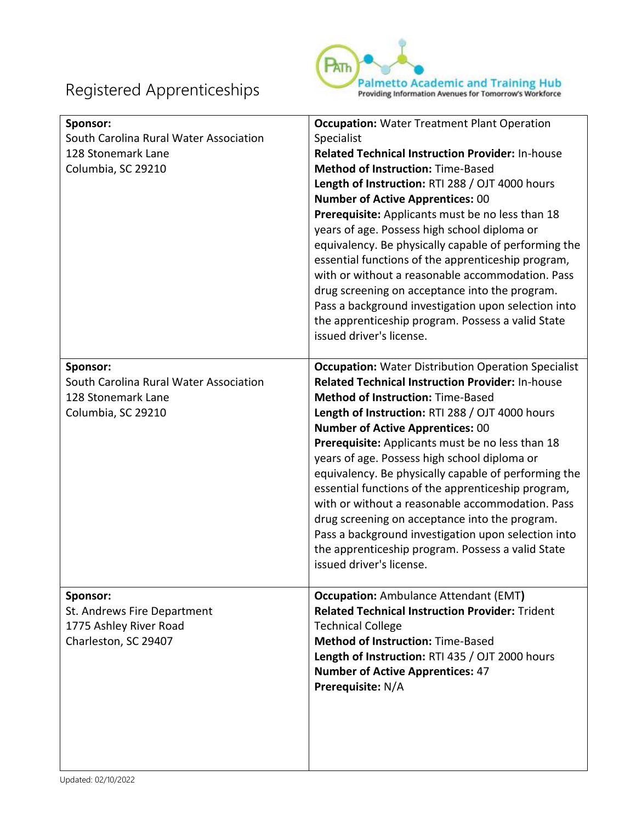

| Sponsor:<br>South Carolina Rural Water Association<br>128 Stonemark Lane<br>Columbia, SC 29210 | <b>Occupation: Water Treatment Plant Operation</b><br>Specialist<br><b>Related Technical Instruction Provider: In-house</b><br><b>Method of Instruction: Time-Based</b><br>Length of Instruction: RTI 288 / OJT 4000 hours<br><b>Number of Active Apprentices: 00</b><br>Prerequisite: Applicants must be no less than 18<br>years of age. Possess high school diploma or<br>equivalency. Be physically capable of performing the<br>essential functions of the apprenticeship program,<br>with or without a reasonable accommodation. Pass<br>drug screening on acceptance into the program.<br>Pass a background investigation upon selection into<br>the apprenticeship program. Possess a valid State<br>issued driver's license. |
|------------------------------------------------------------------------------------------------|---------------------------------------------------------------------------------------------------------------------------------------------------------------------------------------------------------------------------------------------------------------------------------------------------------------------------------------------------------------------------------------------------------------------------------------------------------------------------------------------------------------------------------------------------------------------------------------------------------------------------------------------------------------------------------------------------------------------------------------|
| Sponsor:<br>South Carolina Rural Water Association<br>128 Stonemark Lane<br>Columbia, SC 29210 | <b>Occupation:</b> Water Distribution Operation Specialist<br><b>Related Technical Instruction Provider: In-house</b><br><b>Method of Instruction: Time-Based</b><br>Length of Instruction: RTI 288 / OJT 4000 hours<br><b>Number of Active Apprentices: 00</b><br>Prerequisite: Applicants must be no less than 18<br>years of age. Possess high school diploma or<br>equivalency. Be physically capable of performing the<br>essential functions of the apprenticeship program,<br>with or without a reasonable accommodation. Pass<br>drug screening on acceptance into the program.<br>Pass a background investigation upon selection into<br>the apprenticeship program. Possess a valid State<br>issued driver's license.       |
| Sponsor:<br>St. Andrews Fire Department<br>1775 Ashley River Road<br>Charleston, SC 29407      | <b>Occupation:</b> Ambulance Attendant (EMT)<br><b>Related Technical Instruction Provider: Trident</b><br><b>Technical College</b><br><b>Method of Instruction: Time-Based</b><br>Length of Instruction: RTI 435 / OJT 2000 hours<br><b>Number of Active Apprentices: 47</b><br>Prerequisite: N/A                                                                                                                                                                                                                                                                                                                                                                                                                                     |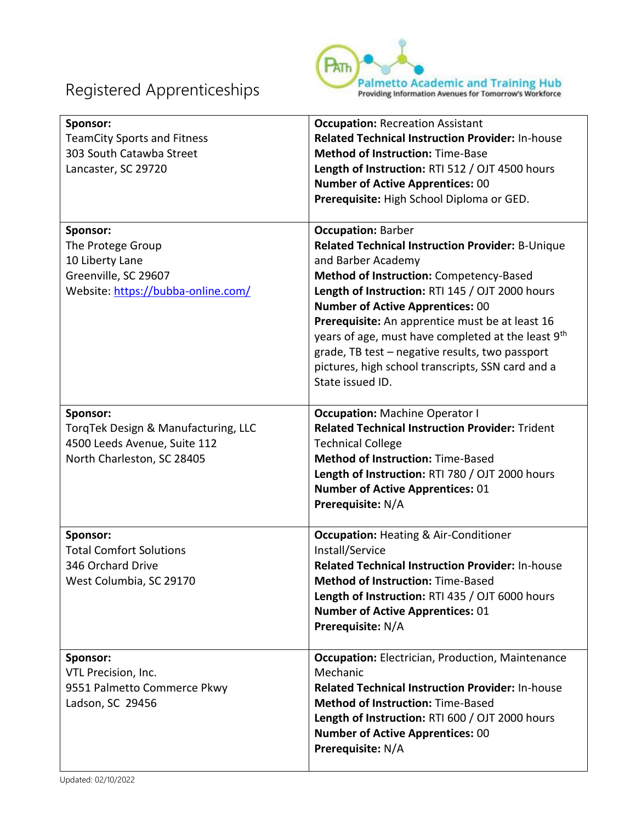

| Sponsor:<br><b>TeamCity Sports and Fitness</b><br>303 South Catawba Street<br>Lancaster, SC 29720              | <b>Occupation: Recreation Assistant</b><br><b>Related Technical Instruction Provider: In-house</b><br><b>Method of Instruction: Time-Base</b><br>Length of Instruction: RTI 512 / OJT 4500 hours<br><b>Number of Active Apprentices: 00</b><br>Prerequisite: High School Diploma or GED.                                                                                                                                                                                                      |
|----------------------------------------------------------------------------------------------------------------|-----------------------------------------------------------------------------------------------------------------------------------------------------------------------------------------------------------------------------------------------------------------------------------------------------------------------------------------------------------------------------------------------------------------------------------------------------------------------------------------------|
| Sponsor:<br>The Protege Group<br>10 Liberty Lane<br>Greenville, SC 29607<br>Website: https://bubba-online.com/ | <b>Occupation: Barber</b><br>Related Technical Instruction Provider: B-Unique<br>and Barber Academy<br>Method of Instruction: Competency-Based<br>Length of Instruction: RTI 145 / OJT 2000 hours<br><b>Number of Active Apprentices: 00</b><br>Prerequisite: An apprentice must be at least 16<br>years of age, must have completed at the least 9 <sup>th</sup><br>grade, TB test - negative results, two passport<br>pictures, high school transcripts, SSN card and a<br>State issued ID. |
| Sponsor:<br>TorqTek Design & Manufacturing, LLC<br>4500 Leeds Avenue, Suite 112<br>North Charleston, SC 28405  | <b>Occupation: Machine Operator I</b><br><b>Related Technical Instruction Provider: Trident</b><br><b>Technical College</b><br><b>Method of Instruction: Time-Based</b><br>Length of Instruction: RTI 780 / OJT 2000 hours<br><b>Number of Active Apprentices: 01</b><br>Prerequisite: N/A                                                                                                                                                                                                    |
| Sponsor:<br><b>Total Comfort Solutions</b><br>346 Orchard Drive<br>West Columbia, SC 29170                     | <b>Occupation: Heating &amp; Air-Conditioner</b><br>Install/Service<br><b>Related Technical Instruction Provider: In-house</b><br><b>Method of Instruction: Time-Based</b><br>Length of Instruction: RTI 435 / OJT 6000 hours<br><b>Number of Active Apprentices: 01</b><br>Prerequisite: N/A                                                                                                                                                                                                 |
| Sponsor:<br>VTL Precision, Inc.<br>9551 Palmetto Commerce Pkwy<br>Ladson, SC 29456                             | <b>Occupation:</b> Electrician, Production, Maintenance<br>Mechanic<br><b>Related Technical Instruction Provider: In-house</b><br><b>Method of Instruction: Time-Based</b><br>Length of Instruction: RTI 600 / OJT 2000 hours<br><b>Number of Active Apprentices: 00</b><br>Prerequisite: N/A                                                                                                                                                                                                 |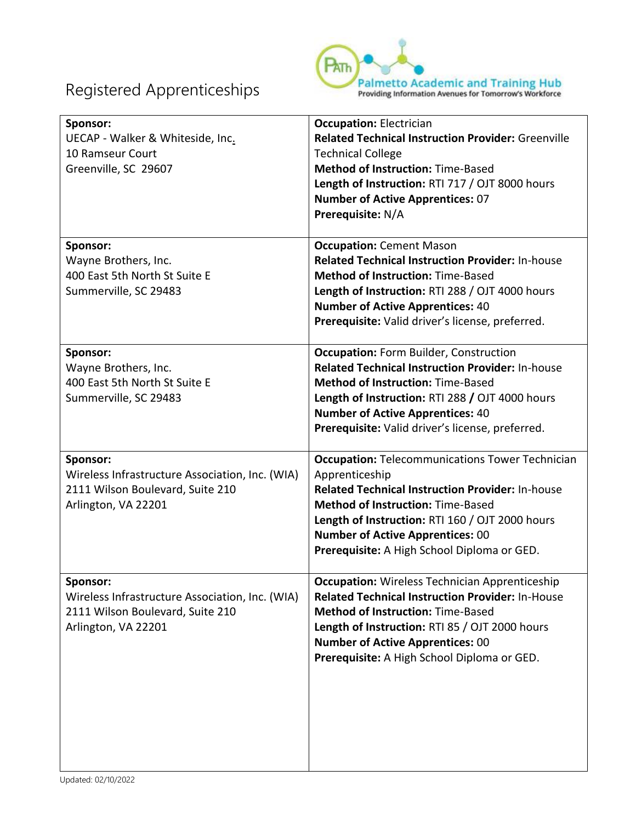

| Sponsor:<br>UECAP - Walker & Whiteside, Inc.<br>10 Ramseur Court<br>Greenville, SC 29607                               | <b>Occupation: Electrician</b><br><b>Related Technical Instruction Provider: Greenville</b><br><b>Technical College</b><br><b>Method of Instruction: Time-Based</b><br>Length of Instruction: RTI 717 / OJT 8000 hours<br><b>Number of Active Apprentices: 07</b><br>Prerequisite: N/A                                |
|------------------------------------------------------------------------------------------------------------------------|-----------------------------------------------------------------------------------------------------------------------------------------------------------------------------------------------------------------------------------------------------------------------------------------------------------------------|
| Sponsor:<br>Wayne Brothers, Inc.<br>400 East 5th North St Suite E<br>Summerville, SC 29483                             | <b>Occupation: Cement Mason</b><br><b>Related Technical Instruction Provider: In-house</b><br><b>Method of Instruction: Time-Based</b><br>Length of Instruction: RTI 288 / OJT 4000 hours<br><b>Number of Active Apprentices: 40</b><br>Prerequisite: Valid driver's license, preferred.                              |
| Sponsor:<br>Wayne Brothers, Inc.<br>400 East 5th North St Suite E<br>Summerville, SC 29483                             | <b>Occupation: Form Builder, Construction</b><br><b>Related Technical Instruction Provider: In-house</b><br><b>Method of Instruction: Time-Based</b><br>Length of Instruction: RTI 288 / OJT 4000 hours<br><b>Number of Active Apprentices: 40</b><br>Prerequisite: Valid driver's license, preferred.                |
| Sponsor:<br>Wireless Infrastructure Association, Inc. (WIA)<br>2111 Wilson Boulevard, Suite 210<br>Arlington, VA 22201 | <b>Occupation: Telecommunications Tower Technician</b><br>Apprenticeship<br>Related Technical Instruction Provider: In-house<br><b>Method of Instruction: Time-Based</b><br>Length of Instruction: RTI 160 / OJT 2000 hours<br><b>Number of Active Apprentices: 00</b><br>Prerequisite: A High School Diploma or GED. |
| Sponsor:<br>Wireless Infrastructure Association, Inc. (WIA)<br>2111 Wilson Boulevard, Suite 210<br>Arlington, VA 22201 | <b>Occupation:</b> Wireless Technician Apprenticeship<br><b>Related Technical Instruction Provider: In-House</b><br><b>Method of Instruction: Time-Based</b><br>Length of Instruction: RTI 85 / OJT 2000 hours<br><b>Number of Active Apprentices: 00</b><br>Prerequisite: A High School Diploma or GED.              |